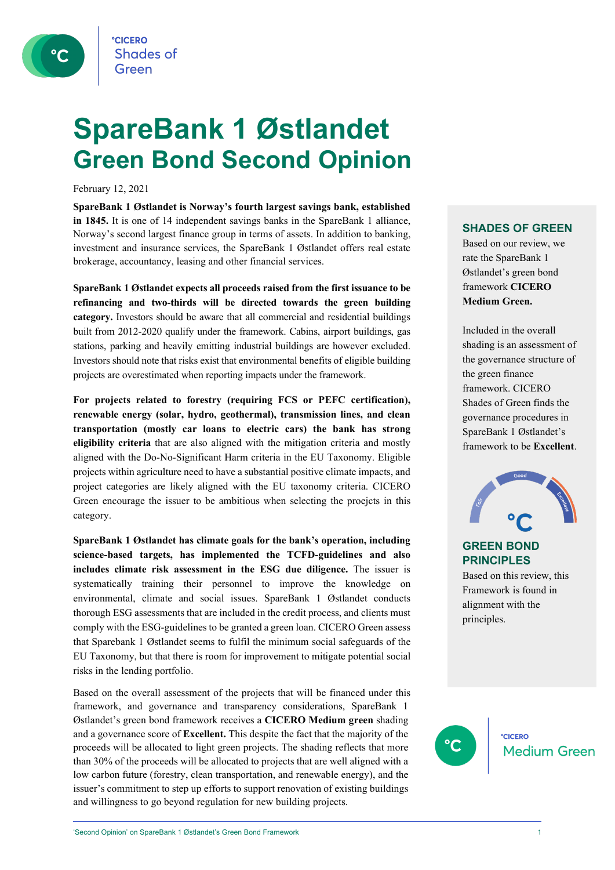

# **SpareBank 1 Østlandet Green Bond Second Opinion**

February 12, 2021

**SpareBank 1 Østlandet is Norway's fourth largest savings bank, established in 1845.** It is one of 14 independent savings banks in the SpareBank 1 alliance, Norway's second largest finance group in terms of assets. In addition to banking, investment and insurance services, the SpareBank 1 Østlandet offers real estate brokerage, accountancy, leasing and other financial services.

**SpareBank 1 Østlandet expects all proceeds raised from the first issuance to be refinancing and two-thirds will be directed towards the green building category.** Investors should be aware that all commercial and residential buildings built from 2012-2020 qualify under the framework. Cabins, airport buildings, gas stations, parking and heavily emitting industrial buildings are however excluded. Investors should note that risks exist that environmental benefits of eligible building projects are overestimated when reporting impacts under the framework.

**For projects related to forestry (requiring FCS or PEFC certification), renewable energy (solar, hydro, geothermal), transmission lines, and clean transportation (mostly car loans to electric cars) the bank has strong eligibility criteria** that are also aligned with the mitigation criteria and mostly aligned with the Do-No-Significant Harm criteria in the EU Taxonomy. Eligible projects within agriculture need to have a substantial positive climate impacts, and project categories are likely aligned with the EU taxonomy criteria. CICERO Green encourage the issuer to be ambitious when selecting the proejcts in this category.

**SpareBank 1 Østlandet has climate goals for the bank's operation, including science-based targets, has implemented the TCFD-guidelines and also includes climate risk assessment in the ESG due diligence.** The issuer is systematically training their personnel to improve the knowledge on environmental, climate and social issues. SpareBank 1 Østlandet conducts thorough ESG assessments that are included in the credit process, and clients must comply with the ESG-guidelines to be granted a green loan. CICERO Green assess that Sparebank 1 Østlandet seems to fulfil the minimum social safeguards of the EU Taxonomy, but that there is room for improvement to mitigate potential social risks in the lending portfolio.

Based on the overall assessment of the projects that will be financed under this framework, and governance and transparency considerations, SpareBank 1 Østlandet's green bond framework receives a **CICERO Medium green** shading and a governance score of **Excellent.** This despite the fact that the majority of the proceeds will be allocated to light green projects. The shading reflects that more than 30% of the proceeds will be allocated to projects that are well aligned with a low carbon future (forestry, clean transportation, and renewable energy), and the issuer's commitment to step up efforts to support renovation of existing buildings and willingness to go beyond regulation for new building projects.

#### **SHADES OF GREEN**

Based on our review, we rate the SpareBank 1 Østlandet's green bond framework **CICERO Medium Green.** 

Included in the overall shading is an assessment of the governance structure of the green finance framework. CICERO Shades of Green finds the governance procedures in SpareBank 1 Østlandet's framework to be **Excellent**.



**GREEN BOND PRINCIPLES** Based on this review, this

Framework is found in alignment with the principles.



**CICERO Medium Green**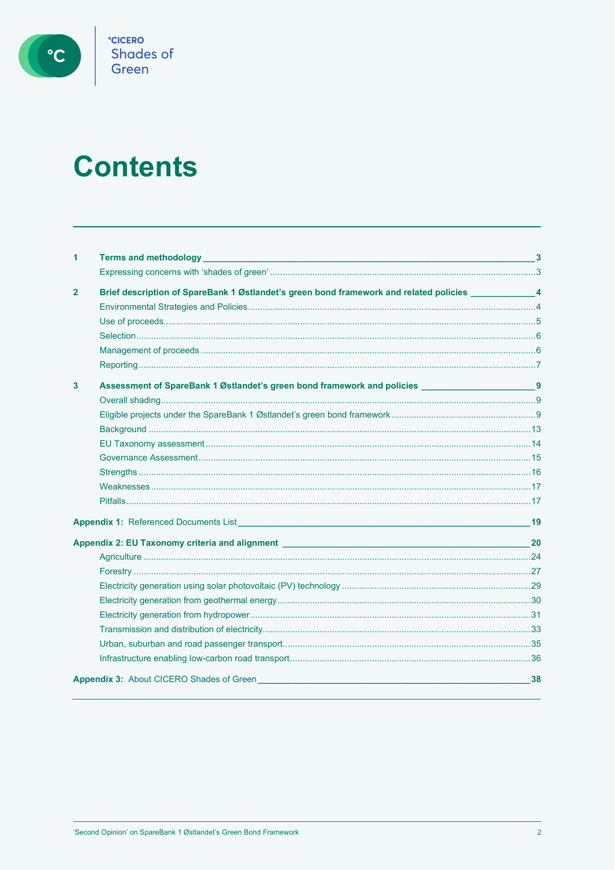

# **Contents**

| 1            | Terms and methodology <b>Example 2018</b> and 2019 and 2019 and 2019 and 2019 and 2019 and 2019 and 2019 and 2019 and 2019 and 2019 and 2019 and 2019 and 2019 and 2019 and 2019 and 2019 and 2019 and 2019 and 2019 and 2019 and 2       | - 3 |
|--------------|-------------------------------------------------------------------------------------------------------------------------------------------------------------------------------------------------------------------------------------------|-----|
|              |                                                                                                                                                                                                                                           |     |
| $\mathbf{2}$ | Brief description of SpareBank 1 Østlandet's green bond framework and related policies ___________________4                                                                                                                               |     |
|              |                                                                                                                                                                                                                                           |     |
|              |                                                                                                                                                                                                                                           |     |
|              |                                                                                                                                                                                                                                           |     |
|              |                                                                                                                                                                                                                                           |     |
|              |                                                                                                                                                                                                                                           |     |
| 3            | Assessment of SpareBank 1 Østlandet's green bond framework and policies ____________________________9                                                                                                                                     |     |
|              |                                                                                                                                                                                                                                           |     |
|              |                                                                                                                                                                                                                                           |     |
|              |                                                                                                                                                                                                                                           |     |
|              |                                                                                                                                                                                                                                           |     |
|              |                                                                                                                                                                                                                                           |     |
|              |                                                                                                                                                                                                                                           |     |
|              |                                                                                                                                                                                                                                           |     |
|              |                                                                                                                                                                                                                                           |     |
|              |                                                                                                                                                                                                                                           | 19  |
|              | Appendix 2: EU Taxonomy criteria and alignment entries and all all the state of the state of the state of the state of the state of the state of the state of the state of the state of the state of the state of the state of            | 20  |
|              |                                                                                                                                                                                                                                           |     |
|              |                                                                                                                                                                                                                                           |     |
|              |                                                                                                                                                                                                                                           |     |
|              |                                                                                                                                                                                                                                           |     |
|              |                                                                                                                                                                                                                                           |     |
|              |                                                                                                                                                                                                                                           |     |
|              |                                                                                                                                                                                                                                           |     |
|              |                                                                                                                                                                                                                                           |     |
|              | <b>Appendix 3:</b> About CICERO Shades of Green <b>Alternative Contract City Contract City Contract City Contract City Contract City Contract City Contract City Contract City Contract City Contract City Contract City Contract Cit</b> | 38  |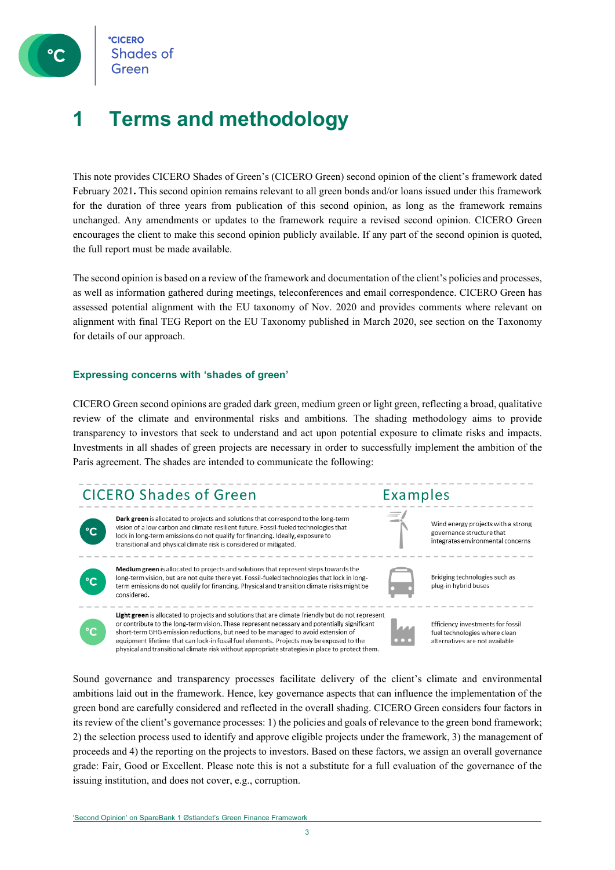## **1 Terms and methodology**

This note provides CICERO Shades of Green's (CICERO Green) second opinion of the client's framework dated February 2021**.** This second opinion remains relevant to all green bonds and/or loans issued under this framework for the duration of three years from publication of this second opinion, as long as the framework remains unchanged. Any amendments or updates to the framework require a revised second opinion. CICERO Green encourages the client to make this second opinion publicly available. If any part of the second opinion is quoted, the full report must be made available.

The second opinion is based on a review of the framework and documentation of the client's policies and processes, as well as information gathered during meetings, teleconferences and email correspondence. CICERO Green has assessed potential alignment with the EU taxonomy of Nov. 2020 and provides comments where relevant on alignment with final TEG Report on the EU Taxonomy published in March 2020, see section on the Taxonomy for details of our approach.

#### **Expressing concerns with 'shades of green'**

CICERO Green second opinions are graded dark green, medium green or light green, reflecting a broad, qualitative review of the climate and environmental risks and ambitions. The shading methodology aims to provide transparency to investors that seek to understand and act upon potential exposure to climate risks and impacts. Investments in all shades of green projects are necessary in order to successfully implement the ambition of the Paris agreement. The shades are intended to communicate the following:

### **CICERO Shades of Green**



Dark green is allocated to projects and solutions that correspond to the long-term vision of a low carbon and climate resilient future. Fossil-fueled technologies that lock in long-term emissions do not qualify for financing. Ideally, exposure to transitional and physical climate risk is considered or mitigated.

Medium green is allocated to projects and solutions that represent steps towards the long-term vision, but are not quite there yet. Fossil-fueled technologies that lock in longterm emissions do not qualify for financing. Physical and transition climate risks might be considered.

Light green is allocated to projects and solutions that are climate friendly but do not represent or contribute to the long-term vision. These represent necessary and potentially significant short-term GHG emission reductions, but need to be managed to avoid extension of equipment lifetime that can lock-in fossil fuel elements. Projects may be exposed to the physical and transitional climate risk without appropriate strategies in place to protect them.



Wind energy projects with a strong governance structure that integrates environmental concerns

Bridging technologies such as plug-in hybrid buses



Efficiency investments for fossil fuel technologies where clean alternatives are not available

Sound governance and transparency processes facilitate delivery of the client's climate and environmental ambitions laid out in the framework. Hence, key governance aspects that can influence the implementation of the green bond are carefully considered and reflected in the overall shading. CICERO Green considers four factors in its review of the client's governance processes: 1) the policies and goals of relevance to the green bond framework; 2) the selection process used to identify and approve eligible projects under the framework, 3) the management of proceeds and 4) the reporting on the projects to investors. Based on these factors, we assign an overall governance grade: Fair, Good or Excellent. Please note this is not a substitute for a full evaluation of the governance of the issuing institution, and does not cover, e.g., corruption.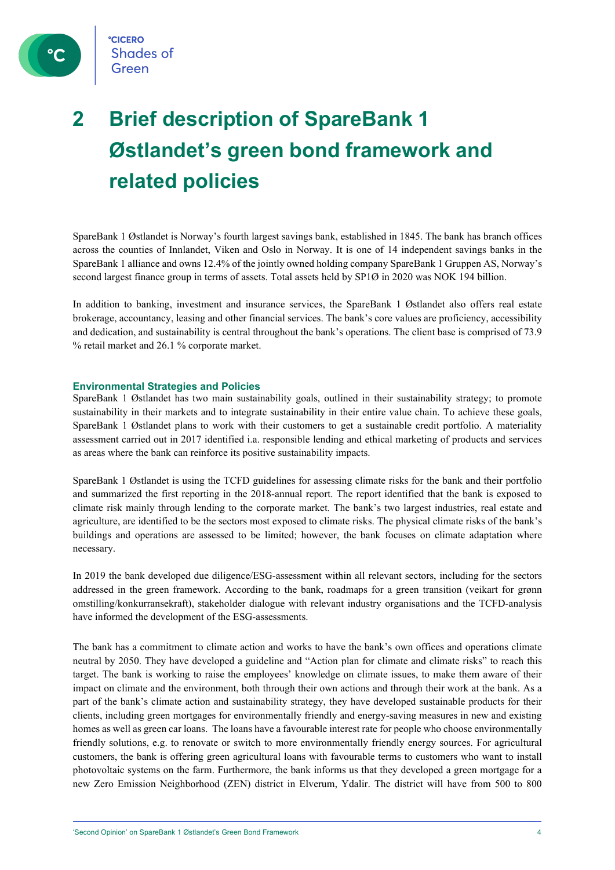

# **2 Brief description of SpareBank 1 Østlandet's green bond framework and related policies**

SpareBank 1 Østlandet is Norway's fourth largest savings bank, established in 1845. The bank has branch offices across the counties of Innlandet, Viken and Oslo in Norway. It is one of 14 independent savings banks in the SpareBank 1 alliance and owns 12.4% of the jointly owned holding company SpareBank 1 Gruppen AS, Norway's second largest finance group in terms of assets. Total assets held by SP1Ø in 2020 was NOK 194 billion.

In addition to banking, investment and insurance services, the SpareBank 1 Østlandet also offers real estate brokerage, accountancy, leasing and other financial services. The bank's core values are proficiency, accessibility and dedication, and sustainability is central throughout the bank's operations. The client base is comprised of 73.9 % retail market and 26.1 % corporate market.

#### **Environmental Strategies and Policies**

SpareBank 1 Østlandet has two main sustainability goals, outlined in their sustainability strategy; to promote sustainability in their markets and to integrate sustainability in their entire value chain. To achieve these goals, SpareBank 1 Østlandet plans to work with their customers to get a sustainable credit portfolio. A materiality assessment carried out in 2017 identified i.a. responsible lending and ethical marketing of products and services as areas where the bank can reinforce its positive sustainability impacts.

SpareBank 1 Østlandet is using the TCFD guidelines for assessing climate risks for the bank and their portfolio and summarized the first reporting in the 2018-annual report. The report identified that the bank is exposed to climate risk mainly through lending to the corporate market. The bank's two largest industries, real estate and agriculture, are identified to be the sectors most exposed to climate risks. The physical climate risks of the bank's buildings and operations are assessed to be limited; however, the bank focuses on climate adaptation where necessary.

In 2019 the bank developed due diligence/ESG-assessment within all relevant sectors, including for the sectors addressed in the green framework. According to the bank, roadmaps for a green transition (veikart for grønn omstilling/konkurransekraft), stakeholder dialogue with relevant industry organisations and the TCFD-analysis have informed the development of the ESG-assessments.

The bank has a commitment to climate action and works to have the bank's own offices and operations climate neutral by 2050. They have developed a guideline and "Action plan for climate and climate risks" to reach this target. The bank is working to raise the employees' knowledge on climate issues, to make them aware of their impact on climate and the environment, both through their own actions and through their work at the bank. As a part of the bank's climate action and sustainability strategy, they have developed sustainable products for their clients, including green mortgages for environmentally friendly and energy-saving measures in new and existing homes as well as green car loans. The loans have a favourable interest rate for people who choose environmentally friendly solutions, e.g. to renovate or switch to more environmentally friendly energy sources. For agricultural customers, the bank is offering green agricultural loans with favourable terms to customers who want to install photovoltaic systems on the farm. Furthermore, the bank informs us that they developed a green mortgage for a new Zero Emission Neighborhood (ZEN) district in Elverum, Ydalir. The district will have from 500 to 800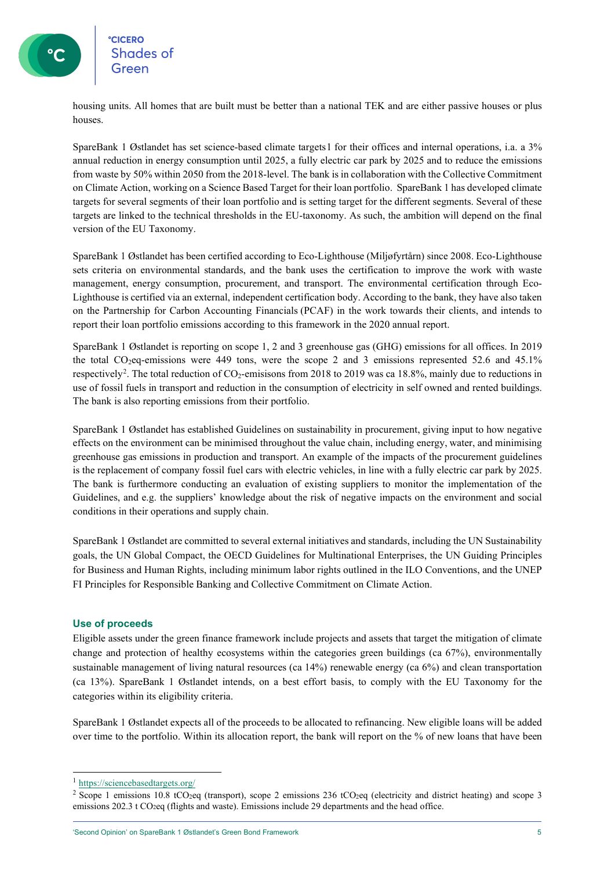housing units. All homes that are built must be better than a national TEK and are either passive houses or plus houses.

SpareBank 1 Østlandet has set science-based climate targets[1](#page-4-0) for their offices and internal operations, i.a. a 3% annual reduction in energy consumption until 2025, a fully electric car park by 2025 and to reduce the emissions from waste by 50% within 2050 from the 2018-level. The bank is in collaboration with the Collective Commitment on Climate Action, working on a Science Based Target for their loan portfolio. SpareBank 1 has developed climate targets for several segments of their loan portfolio and is setting target for the different segments. Several of these targets are linked to the technical thresholds in the EU-taxonomy. As such, the ambition will depend on the final version of the EU Taxonomy.

SpareBank 1 Østlandet has been certified according to Eco-Lighthouse (Miljøfyrtårn) since 2008. Eco-Lighthouse sets criteria on environmental standards, and the bank uses the certification to improve the work with waste management, energy consumption, procurement, and transport. The environmental certification through Eco-Lighthouse is certified via an external, independent certification body. According to the bank, they have also taken on the Partnership for Carbon Accounting Financials (PCAF) in the work towards their clients, and intends to report their loan portfolio emissions according to this framework in the 2020 annual report.

SpareBank 1 Østlandet is reporting on scope 1, 2 and 3 greenhouse gas (GHG) emissions for all offices. In 2019 the total CO<sub>2</sub>eq-emissions were 449 tons, were the scope 2 and 3 emissions represented 52.6 and 45.1% respectively<sup>[2](#page-4-1)</sup>. The total reduction of  $CO_2$ -emisisons from 2018 to 2019 was ca 18.8%, mainly due to reductions in use of fossil fuels in transport and reduction in the consumption of electricity in self owned and rented buildings. The bank is also reporting emissions from their portfolio.

SpareBank 1 Østlandet has established Guidelines on sustainability in procurement, giving input to how negative effects on the environment can be minimised throughout the value chain, including energy, water, and minimising greenhouse gas emissions in production and transport. An example of the impacts of the procurement guidelines is the replacement of company fossil fuel cars with electric vehicles, in line with a fully electric car park by 2025. The bank is furthermore conducting an evaluation of existing suppliers to monitor the implementation of the Guidelines, and e.g. the suppliers' knowledge about the risk of negative impacts on the environment and social conditions in their operations and supply chain.

SpareBank 1 Østlandet are committed to several external initiatives and standards, including the UN Sustainability goals, the UN Global Compact, the OECD Guidelines for Multinational Enterprises, the UN Guiding Principles for Business and Human Rights, including minimum labor rights outlined in the ILO Conventions, and the UNEP FI Principles for Responsible Banking and Collective Commitment on Climate Action.

#### **Use of proceeds**

Eligible assets under the green finance framework include projects and assets that target the mitigation of climate change and protection of healthy ecosystems within the categories green buildings (ca 67%), environmentally sustainable management of living natural resources (ca 14%) renewable energy (ca 6%) and clean transportation (ca 13%). SpareBank 1 Østlandet intends, on a best effort basis, to comply with the EU Taxonomy for the categories within its eligibility criteria.

SpareBank 1 Østlandet expects all of the proceeds to be allocated to refinancing. New eligible loans will be added over time to the portfolio. Within its allocation report, the bank will report on the % of new loans that have been

'Second Opinion' on SpareBank 1 Østlandet's Green Bond Framework 5

<sup>1</sup> <https://sciencebasedtargets.org/>

<span id="page-4-1"></span><span id="page-4-0"></span><sup>&</sup>lt;sup>2</sup> Scope 1 emissions 10.8 tCO<sub>2</sub>eq (transport), scope 2 emissions 236 tCO<sub>2</sub>eq (electricity and district heating) and scope 3 emissions 202.3 t CO<sub>2</sub>eq (flights and waste). Emissions include 29 departments and the head office.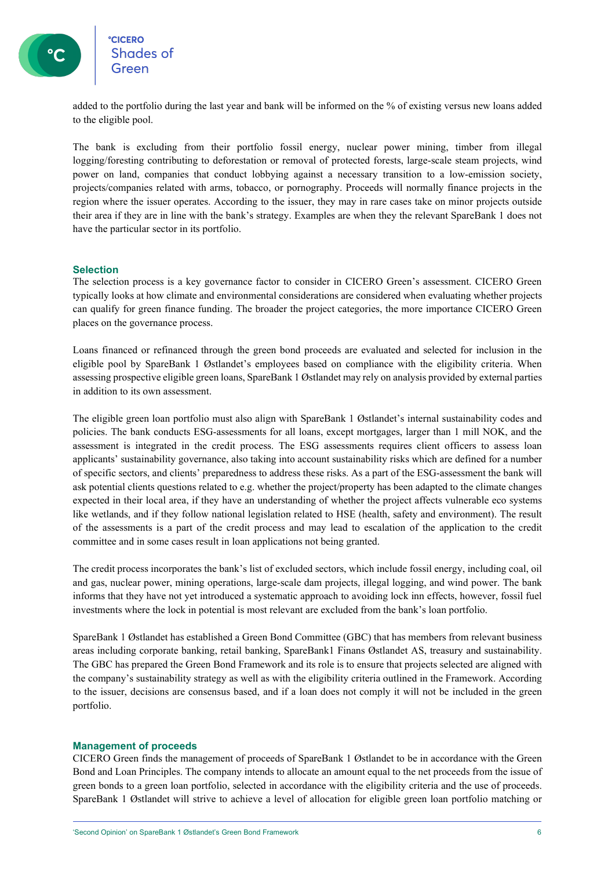### **CICERO** eccero<br>Shades of

added to the portfolio during the last year and bank will be informed on the % of existing versus new loans added to the eligible pool.

The bank is excluding from their portfolio fossil energy, nuclear power mining, timber from illegal logging/foresting contributing to deforestation or removal of protected forests, large-scale steam projects, wind power on land, companies that conduct lobbying against a necessary transition to a low-emission society, projects/companies related with arms, tobacco, or pornography. Proceeds will normally finance projects in the region where the issuer operates. According to the issuer, they may in rare cases take on minor projects outside their area if they are in line with the bank's strategy. Examples are when they the relevant SpareBank 1 does not have the particular sector in its portfolio.

#### **Selection**

The selection process is a key governance factor to consider in CICERO Green's assessment. CICERO Green typically looks at how climate and environmental considerations are considered when evaluating whether projects can qualify for green finance funding. The broader the project categories, the more importance CICERO Green places on the governance process.

Loans financed or refinanced through the green bond proceeds are evaluated and selected for inclusion in the eligible pool by SpareBank 1 Østlandet's employees based on compliance with the eligibility criteria. When assessing prospective eligible green loans, SpareBank 1 Østlandet may rely on analysis provided by external parties in addition to its own assessment.

The eligible green loan portfolio must also align with SpareBank 1 Østlandet's internal sustainability codes and policies. The bank conducts ESG-assessments for all loans, except mortgages, larger than 1 mill NOK, and the assessment is integrated in the credit process. The ESG assessments requires client officers to assess loan applicants' sustainability governance, also taking into account sustainability risks which are defined for a number of specific sectors, and clients' preparedness to address these risks. As a part of the ESG-assessment the bank will ask potential clients questions related to e.g. whether the project/property has been adapted to the climate changes expected in their local area, if they have an understanding of whether the project affects vulnerable eco systems like wetlands, and if they follow national legislation related to HSE (health, safety and environment). The result of the assessments is a part of the credit process and may lead to escalation of the application to the credit committee and in some cases result in loan applications not being granted.

The credit process incorporates the bank's list of excluded sectors, which include fossil energy, including coal, oil and gas, nuclear power, mining operations, large-scale dam projects, illegal logging, and wind power. The bank informs that they have not yet introduced a systematic approach to avoiding lock inn effects, however, fossil fuel investments where the lock in potential is most relevant are excluded from the bank's loan portfolio.

SpareBank 1 Østlandet has established a Green Bond Committee (GBC) that has members from relevant business areas including corporate banking, retail banking, SpareBank1 Finans Østlandet AS, treasury and sustainability. The GBC has prepared the Green Bond Framework and its role is to ensure that projects selected are aligned with the company's sustainability strategy as well as with the eligibility criteria outlined in the Framework. According to the issuer, decisions are consensus based, and if a loan does not comply it will not be included in the green portfolio.

#### **Management of proceeds**

CICERO Green finds the management of proceeds of SpareBank 1 Østlandet to be in accordance with the Green Bond and Loan Principles. The company intends to allocate an amount equal to the net proceeds from the issue of green bonds to a green loan portfolio, selected in accordance with the eligibility criteria and the use of proceeds. SpareBank 1 Østlandet will strive to achieve a level of allocation for eligible green loan portfolio matching or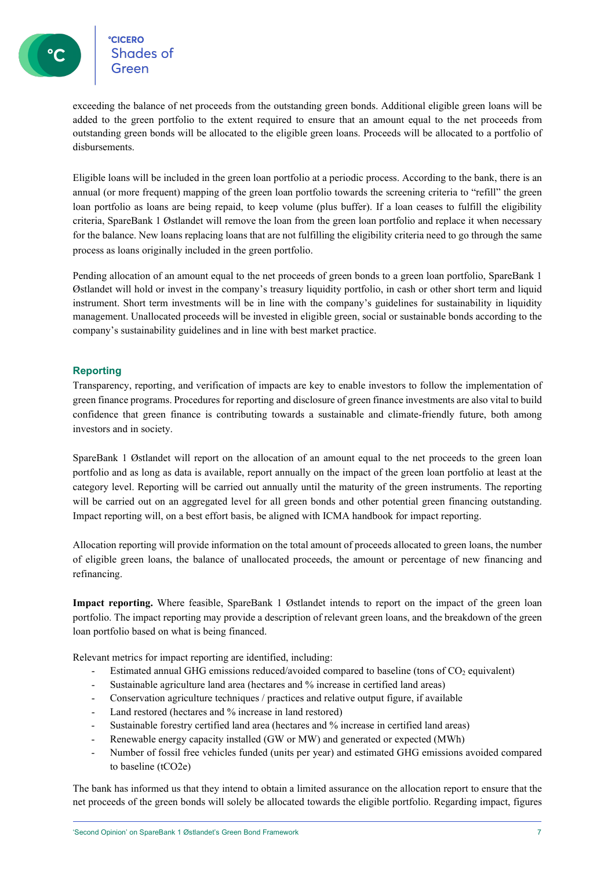exceeding the balance of net proceeds from the outstanding green bonds. Additional eligible green loans will be added to the green portfolio to the extent required to ensure that an amount equal to the net proceeds from outstanding green bonds will be allocated to the eligible green loans. Proceeds will be allocated to a portfolio of disbursements.

Eligible loans will be included in the green loan portfolio at a periodic process. According to the bank, there is an annual (or more frequent) mapping of the green loan portfolio towards the screening criteria to "refill" the green loan portfolio as loans are being repaid, to keep volume (plus buffer). If a loan ceases to fulfill the eligibility criteria, SpareBank 1 Østlandet will remove the loan from the green loan portfolio and replace it when necessary for the balance. New loans replacing loans that are not fulfilling the eligibility criteria need to go through the same process as loans originally included in the green portfolio.

Pending allocation of an amount equal to the net proceeds of green bonds to a green loan portfolio, SpareBank 1 Østlandet will hold or invest in the company's treasury liquidity portfolio, in cash or other short term and liquid instrument. Short term investments will be in line with the company's guidelines for sustainability in liquidity management. Unallocated proceeds will be invested in eligible green, social or sustainable bonds according to the company's sustainability guidelines and in line with best market practice.

#### **Reporting**

Transparency, reporting, and verification of impacts are key to enable investors to follow the implementation of green finance programs. Procedures for reporting and disclosure of green finance investments are also vital to build confidence that green finance is contributing towards a sustainable and climate-friendly future, both among investors and in society.

SpareBank 1 Østlandet will report on the allocation of an amount equal to the net proceeds to the green loan portfolio and as long as data is available, report annually on the impact of the green loan portfolio at least at the category level. Reporting will be carried out annually until the maturity of the green instruments. The reporting will be carried out on an aggregated level for all green bonds and other potential green financing outstanding. Impact reporting will, on a best effort basis, be aligned with ICMA handbook for impact reporting.

Allocation reporting will provide information on the total amount of proceeds allocated to green loans, the number of eligible green loans, the balance of unallocated proceeds, the amount or percentage of new financing and refinancing.

**Impact reporting.** Where feasible, SpareBank 1 Østlandet intends to report on the impact of the green loan portfolio. The impact reporting may provide a description of relevant green loans, and the breakdown of the green loan portfolio based on what is being financed.

Relevant metrics for impact reporting are identified, including:

- Estimated annual GHG emissions reduced/avoided compared to baseline (tons of CO<sub>2</sub> equivalent)
- Sustainable agriculture land area (hectares and % increase in certified land areas)
- Conservation agriculture techniques / practices and relative output figure, if available
- Land restored (hectares and % increase in land restored)
- Sustainable forestry certified land area (hectares and % increase in certified land areas)
- Renewable energy capacity installed (GW or MW) and generated or expected (MWh)
- Number of fossil free vehicles funded (units per year) and estimated GHG emissions avoided compared to baseline (tCO2e)

The bank has informed us that they intend to obtain a limited assurance on the allocation report to ensure that the net proceeds of the green bonds will solely be allocated towards the eligible portfolio. Regarding impact, figures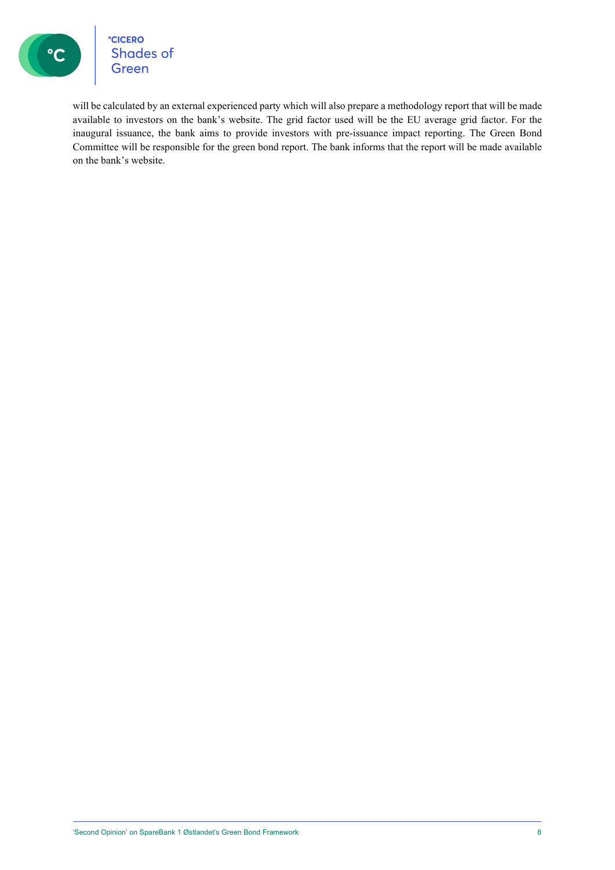

°cicero<br>Shades of<br>Green

will be calculated by an external experienced party which will also prepare a methodology report that will be made available to investors on the bank's website. The grid factor used will be the EU average grid factor. For the inaugural issuance, the bank aims to provide investors with pre-issuance impact reporting. The Green Bond Committee will be responsible for the green bond report. The bank informs that the report will be made available on the bank's website.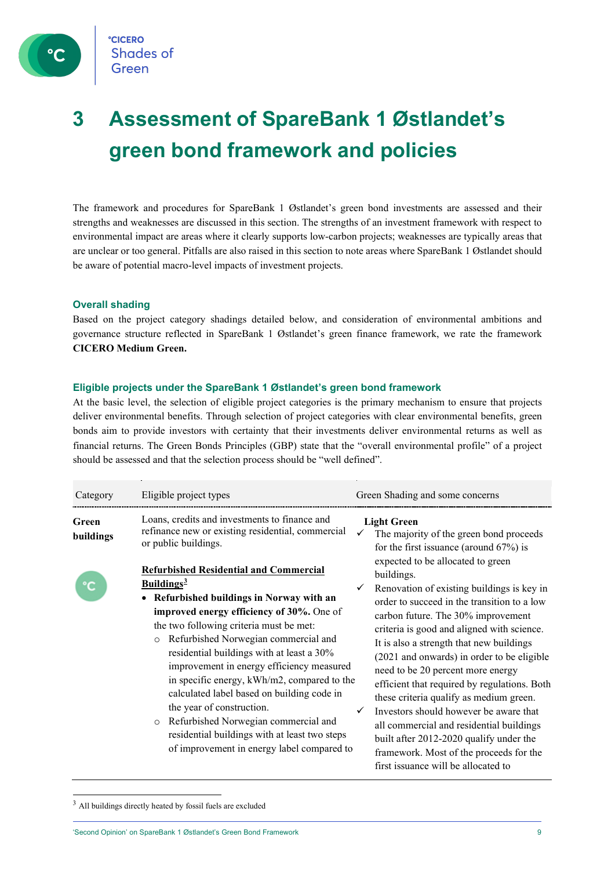

## **3 Assessment of SpareBank 1 Østlandet's green bond framework and policies**

The framework and procedures for SpareBank 1 Østlandet's green bond investments are assessed and their strengths and weaknesses are discussed in this section. The strengths of an investment framework with respect to environmental impact are areas where it clearly supports low-carbon projects; weaknesses are typically areas that are unclear or too general. Pitfalls are also raised in this section to note areas where SpareBank 1 Østlandet should be aware of potential macro-level impacts of investment projects.

#### **Overall shading**

Based on the project category shadings detailed below, and consideration of environmental ambitions and governance structure reflected in SpareBank 1 Østlandet's green finance framework, we rate the framework **CICERO Medium Green.**

#### **Eligible projects under the SpareBank 1 Østlandet's green bond framework**

At the basic level, the selection of eligible project categories is the primary mechanism to ensure that projects deliver environmental benefits. Through selection of project categories with clear environmental benefits, green bonds aim to provide investors with certainty that their investments deliver environmental returns as well as financial returns. The Green Bonds Principles (GBP) state that the "overall environmental profile" of a project should be assessed and that the selection process should be "well defined".

| Category           | Eligible project types                                                                                                                                                                                                                                                                                                                                                                                                                                                                                                                                                                                                                                                                                                                                            | Green Shading and some concerns                                                                                                                                                                                                                                                                                                                                                                                                                                                                                                                                                                                                                                                                                                                                                              |
|--------------------|-------------------------------------------------------------------------------------------------------------------------------------------------------------------------------------------------------------------------------------------------------------------------------------------------------------------------------------------------------------------------------------------------------------------------------------------------------------------------------------------------------------------------------------------------------------------------------------------------------------------------------------------------------------------------------------------------------------------------------------------------------------------|----------------------------------------------------------------------------------------------------------------------------------------------------------------------------------------------------------------------------------------------------------------------------------------------------------------------------------------------------------------------------------------------------------------------------------------------------------------------------------------------------------------------------------------------------------------------------------------------------------------------------------------------------------------------------------------------------------------------------------------------------------------------------------------------|
| Green<br>buildings | Loans, credits and investments to finance and<br>refinance new or existing residential, commercial<br>or public buildings.<br><b>Refurbished Residential and Commercial</b><br>Buildings <sup>3</sup><br>Refurbished buildings in Norway with an<br>improved energy efficiency of 30%. One of<br>the two following criteria must be met:<br>Refurbished Norwegian commercial and<br>$\circ$<br>residential buildings with at least a 30%<br>improvement in energy efficiency measured<br>in specific energy, kWh/m2, compared to the<br>calculated label based on building code in<br>the year of construction.<br>Refurbished Norwegian commercial and<br>$\circ$<br>residential buildings with at least two steps<br>of improvement in energy label compared to | <b>Light Green</b><br>The majority of the green bond proceeds<br>for the first issuance (around $67\%$ ) is<br>expected to be allocated to green<br>buildings.<br>Renovation of existing buildings is key in<br>order to succeed in the transition to a low<br>carbon future. The 30% improvement<br>criteria is good and aligned with science.<br>It is also a strength that new buildings<br>(2021 and onwards) in order to be eligible<br>need to be 20 percent more energy<br>efficient that required by regulations. Both<br>these criteria qualify as medium green.<br>Investors should however be aware that<br>all commercial and residential buildings<br>built after 2012-2020 qualify under the<br>framework. Most of the proceeds for the<br>first issuance will be allocated to |

<span id="page-8-0"></span> $3$  All buildings directly heated by fossil fuels are excluded

'Second Opinion' on SpareBank 1 Østlandet's Green Bond Framework 9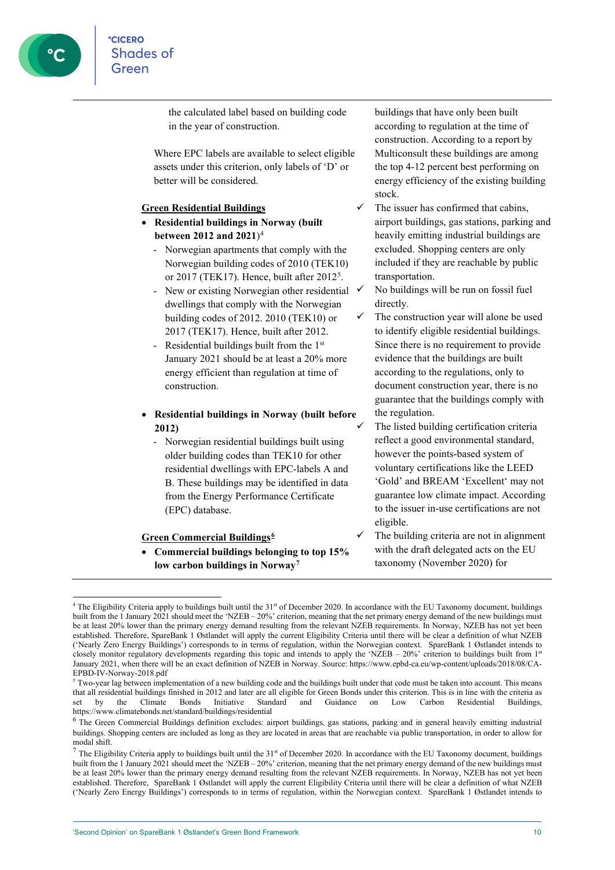the calculated label based on building code in the year of construction.

Where EPC labels are available to select eligible assets under this criterion, only labels of 'D' or better will be considered.

#### **Green Residential Buildings**

- **Residential buildings in Norway (built between 2012 and 2021**)[4](#page-9-0)
	- Norwegian apartments that comply with the Norwegian building codes of 2010 (TEK10) or 2017 (TEK17). Hence, built after 2012<sup>[5](#page-9-1)</sup>.
	- New or existing Norwegian other residential  $\checkmark$ dwellings that comply with the Norwegian building codes of 2012. 2010 (TEK10) or 2017 (TEK17). Hence, built after 2012.
	- Residential buildings built from the 1st January 2021 should be at least a 20% more energy efficient than regulation at time of construction.

#### • **Residential buildings in Norway (built before 2012)**

- Norwegian residential buildings built using older building codes than TEK10 for other residential dwellings with EPC-labels A and B. These buildings may be identified in data from the Energy Performance Certificate (EPC) database.

#### **Green Commercial Buildings[6](#page-9-2)**

• **Commercial buildings belonging to top 15% low carbon buildings in Norway[7](#page-9-3)**

buildings that have only been built according to regulation at the time of construction. According to a report by Multiconsult these buildings are among the top 4-12 percent best performing on energy efficiency of the existing building stock.

- The issuer has confirmed that cabins, airport buildings, gas stations, parking and heavily emitting industrial buildings are excluded. Shopping centers are only included if they are reachable by public transportation.
	- No buildings will be run on fossil fuel directly.
	- The construction year will alone be used to identify eligible residential buildings. Since there is no requirement to provide evidence that the buildings are built according to the regulations, only to document construction year, there is no guarantee that the buildings comply with the regulation.
	- The listed building certification criteria reflect a good environmental standard, however the points-based system of voluntary certifications like the LEED 'Gold' and BREAM 'Excellent' may not guarantee low climate impact. According to the issuer in-use certifications are not eligible.
- The building criteria are not in alignment with the draft delegated acts on the EU taxonomy (November 2020) for

<span id="page-9-0"></span> $4$  The Eligibility Criteria apply to buildings built until the  $31<sup>st</sup>$  of December 2020. In accordance with the EU Taxonomy document, buildings built from the 1 January 2021 should meet the 'NZEB – 20%' criterion, meaning that the net primary energy demand of the new buildings must be at least 20% lower than the primary energy demand resulting from the relevant NZEB requirements. In Norway, NZEB has not yet been established. Therefore, SpareBank 1 Østlandet will apply the current Eligibility Criteria until there will be clear a definition of what NZEB ('Nearly Zero Energy Buildings') corresponds to in terms of regulation, within the Norwegian context. SpareBank 1 Østlandet intends to closely monitor regulatory developments regarding this topic and intends to apply the 'NZEB – 20%' criterion to buildings built from 1<sup>st</sup> January 2021, when there will be an exact definition of NZEB in Norway. Source: https://www.epbd-ca.eu/wp-content/uploads/2018/08/CA-EPBD-IV-Norway-2018.pdf

<span id="page-9-1"></span><sup>&</sup>lt;sup>5</sup> Two-year lag between implementation of a new building code and the buildings built under that code must be taken into account. This means that all residential buildings finished in 2012 and later are all eligible for Green Bonds under this criterion. This is in line with the criteria as set by the Climate Bonds Initiative Standard and Guidance on Low Carbon Residential Buildings, https://www.climatebonds.net/standard/buildings/residential

<span id="page-9-2"></span><sup>&</sup>lt;sup>6</sup> The Green Commercial Buildings definition excludes: airport buildings, gas stations, parking and in general heavily emitting industrial buildings. Shopping centers are included as long as they are located in areas that are reachable via public transportation, in order to allow for modal shift.

<span id="page-9-3"></span> $7$  The Eligibility Criteria apply to buildings built until the 31<sup>st</sup> of December 2020. In accordance with the EU Taxonomy document, buildings built from the 1 January 2021 should meet the 'NZEB – 20%' criterion, meaning that the net primary energy demand of the new buildings must be at least 20% lower than the primary energy demand resulting from the relevant NZEB requirements. In Norway, NZEB has not yet been established. Therefore, SpareBank 1 Østlandet will apply the current Eligibility Criteria until there will be clear a definition of what NZEB ('Nearly Zero Energy Buildings') corresponds to in terms of regulation, within the Norwegian context. SpareBank 1 Østlandet intends to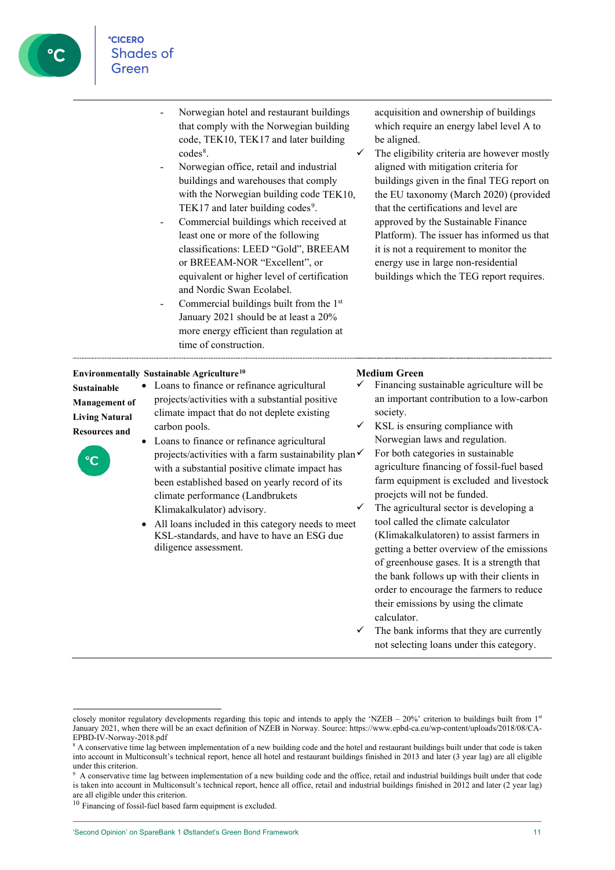

- Norwegian hotel and restaurant buildings that comply with the Norwegian building code, TEK10, TEK17 and later building codes<sup>[8](#page-10-0)</sup>.
- Norwegian office, retail and industrial buildings and warehouses that comply with the Norwegian building code TEK10. TEK17 and later building codes<sup>[9](#page-10-1)</sup>.
- Commercial buildings which received at least one or more of the following classifications: LEED "Gold", BREEAM or BREEAM-NOR "Excellent", or equivalent or higher level of certification and Nordic Swan Ecolabel.
- Commercial buildings built from the 1<sup>st</sup> January 2021 should be at least a 20% more energy efficient than regulation at time of construction.

acquisition and ownership of buildings which require an energy label level A to be aligned.

 $\checkmark$  The eligibility criteria are however mostly aligned with mitigation criteria for buildings given in the final TEG report on the EU taxonomy (March 2020) (provided that the certifications and level are approved by the Sustainable Finance Platform). The issuer has informed us that it is not a requirement to monitor the energy use in large non-residential buildings which the TEG report requires.

#### **Environmentally Sustainable Agriculture[10](#page-10-2)**

#### **Sustainable Management of Living Natural Resources and**



- Loans to finance or refinance agricultural projects/activities with a substantial positive climate impact that do not deplete existing carbon pools.
- Loans to finance or refinance agricultural projects/activities with a farm sustainability plan $\checkmark$ with a substantial positive climate impact has been established based on yearly record of its climate performance (Landbrukets Klimakalkulator) advisory.
- All loans included in this category needs to meet KSL-standards, and have to have an ESG due diligence assessment.

#### **Medium Green**

- Financing sustainable agriculture will be an important contribution to a low-carbon society. KSL is ensuring compliance with
- Norwegian laws and regulation. For both categories in sustainable agriculture financing of fossil-fuel based farm equipment is excluded and livestock proejcts will not be funded.
- The agricultural sector is developing a tool called the climate calculator (Klimakalkulatoren) to assist farmers in getting a better overview of the emissions of greenhouse gases. It is a strength that the bank follows up with their clients in order to encourage the farmers to reduce their emissions by using the climate calculator.
- The bank informs that they are currently not selecting loans under this category.

closely monitor regulatory developments regarding this topic and intends to apply the 'NZEB – 20%' criterion to buildings built from  $1<sup>st</sup>$ January 2021, when there will be an exact definition of NZEB in Norway. Source: https://www.epbd-ca.eu/wp-content/uploads/2018/08/CA-EPBD-IV-Norway-2018.pdf

<span id="page-10-0"></span><sup>&</sup>lt;sup>8</sup> A conservative time lag between implementation of a new building code and the hotel and restaurant buildings built under that code is taken into account in Multiconsult's technical report, hence all hotel and restaurant buildings finished in 2013 and later (3 year lag) are all eligible under this criterion.

<span id="page-10-1"></span><sup>&</sup>lt;sup>9</sup> A conservative time lag between implementation of a new building code and the office, retail and industrial buildings built under that code is taken into account in Multiconsult's technical report, hence all office, retail and industrial buildings finished in 2012 and later (2 year lag) are all eligible under this criterion.

<span id="page-10-2"></span><sup>10</sup> Financing of fossil-fuel based farm equipment is excluded.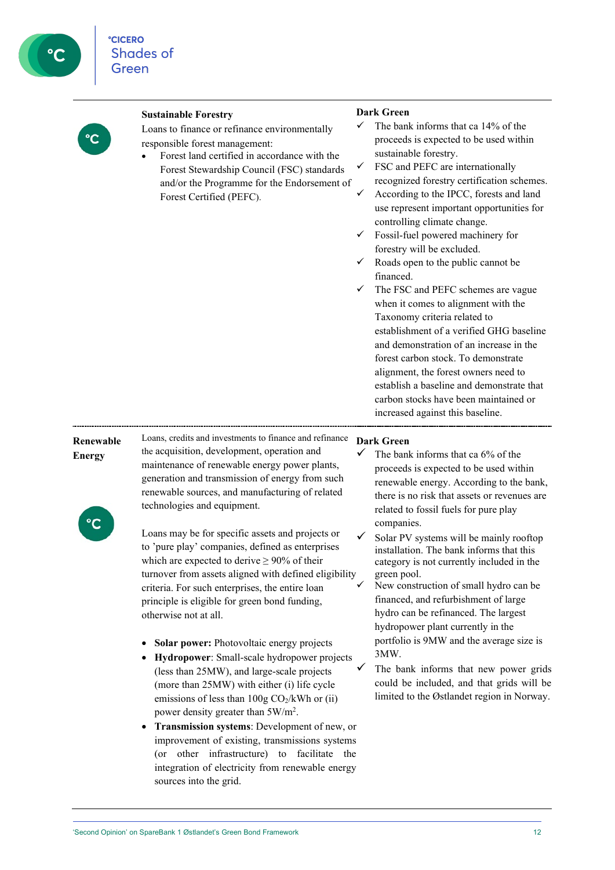**Sustainable Forestry**

Loans to finance or refinance environmentally responsible forest management:

• Forest land certified in accordance with the Forest Stewardship Council (FSC) standards and/or the Programme for the Endorsement of Forest Certified (PEFC).

#### **Dark Green**

- The bank informs that ca 14% of the proceeds is expected to be used within sustainable forestry.
- FSC and PEFC are internationally recognized forestry certification schemes.
- According to the IPCC, forests and land use represent important opportunities for controlling climate change.
- Fossil-fuel powered machinery for forestry will be excluded.
- Roads open to the public cannot be financed.
- The FSC and PEFC schemes are vague when it comes to alignment with the Taxonomy criteria related to establishment of a verified GHG baseline and demonstration of an increase in the forest carbon stock. To demonstrate alignment, the forest owners need to establish a baseline and demonstrate that carbon stocks have been maintained or increased against this baseline.

### **Renewable Energy**

Loans, credits and investments to finance and refinance **Dark Green** the acquisition, development, operation and maintenance of renewable energy power plants, generation and transmission of energy from such renewable sources, and manufacturing of related technologies and equipment.

Loans may be for specific assets and projects or to 'pure play' companies, defined as enterprises which are expected to derive  $\geq 90\%$  of their turnover from assets aligned with defined eligibility criteria. For such enterprises, the entire loan principle is eligible for green bond funding,

- **Solar power:** Photovoltaic energy projects
- **Hydropower**: Small-scale hydropower projects (less than 25MW), and large-scale projects (more than 25MW) with either (i) life cycle emissions of less than  $100g \text{ CO}_2/kWh$  or (ii) power density greater than 5W/m<sup>2</sup>.
- **Transmission systems**: Development of new, or improvement of existing, transmissions systems (or other infrastructure) to facilitate the integration of electricity from renewable energy sources into the grid.

- The bank informs that ca 6% of the proceeds is expected to be used within renewable energy. According to the bank, there is no risk that assets or revenues are related to fossil fuels for pure play companies.
- Solar PV systems will be mainly rooftop installation. The bank informs that this category is not currently included in the green pool.
- New construction of small hydro can be financed, and refurbishment of large hydro can be refinanced. The largest hydropower plant currently in the portfolio is 9MW and the average size is 3MW.
- The bank informs that new power grids could be included, and that grids will be limited to the Østlandet region in Norway.

otherwise not at all.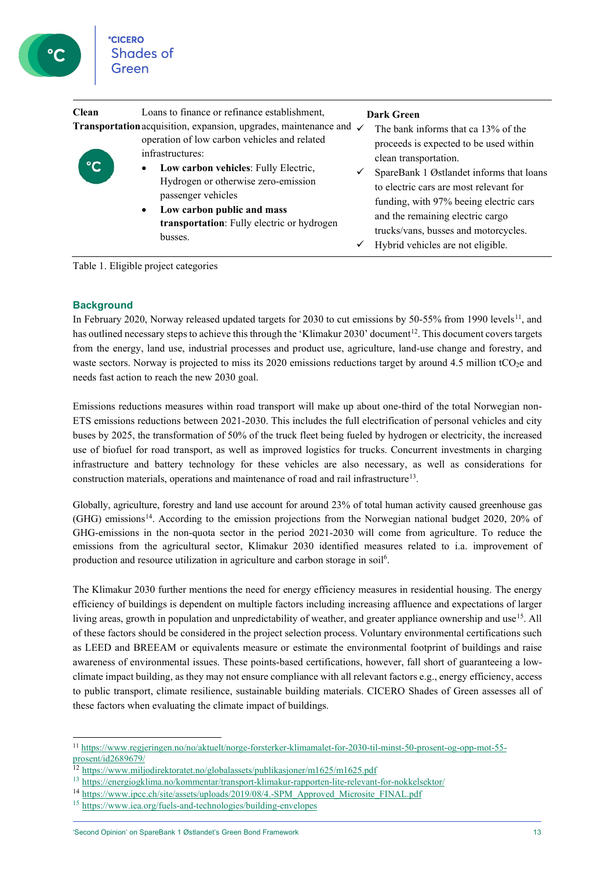| Clean                 | Loans to finance or refinance establishment,<br><b>Transportation</b> acquisition, expansion, upgrades, maintenance and $\checkmark$                                                                                                                         | <b>Dark Green</b><br>The bank informs that ca 13% of the                                                                                                                                                                                                                                                         |
|-----------------------|--------------------------------------------------------------------------------------------------------------------------------------------------------------------------------------------------------------------------------------------------------------|------------------------------------------------------------------------------------------------------------------------------------------------------------------------------------------------------------------------------------------------------------------------------------------------------------------|
| $\overline{\text{C}}$ | operation of low carbon vehicles and related<br>infrastructures:<br>Low carbon vehicles: Fully Electric,<br>Hydrogen or otherwise zero-emission<br>passenger vehicles<br>Low carbon public and mass<br>transportation: Fully electric or hydrogen<br>busses. | proceeds is expected to be used within<br>clean transportation.<br>SpareBank 1 Østlandet informs that loans<br>to electric cars are most relevant for<br>funding, with 97% beeing electric cars<br>and the remaining electric cargo<br>trucks/vans, busses and motorcycles.<br>Hybrid vehicles are not eligible. |

Table 1. Eligible project categories

#### **Background**

In February 2020, Norway released updated targets for 2030 to cut emissions by 50-55% from 1990 levels<sup>[11](#page-12-0)</sup>, and has outlined necessary steps to achieve this through the 'Klimakur 2030' document<sup>12</sup>. This document covers targets from the energy, land use, industrial processes and product use, agriculture, land-use change and forestry, and waste sectors. Norway is projected to miss its 2020 emissions reductions target by around 4.5 million tCO<sub>2</sub>e and needs fast action to reach the new 2030 goal.

Emissions reductions measures within road transport will make up about one-third of the total Norwegian non-ETS emissions reductions between 2021-2030. This includes the full electrification of personal vehicles and city buses by 2025, the transformation of 50% of the truck fleet being fueled by hydrogen or electricity, the increased use of biofuel for road transport, as well as improved logistics for trucks. Concurrent investments in charging infrastructure and battery technology for these vehicles are also necessary, as well as considerations for construction materials, operations and maintenance of road and rail infrastructur[e13.](#page-12-2)

Globally, agriculture, forestry and land use account for around 23% of total human activity caused greenhouse gas (GHG) emissions[14](#page-12-3). According to the emission projections from the Norwegian national budget 2020, 20% of GHG-emissions in the non-quota sector in the period 2021-2030 will come from agriculture. To reduce the emissions from the agricultural sector, Klimakur 2030 identified measures related to i.a. improvement of production and resource utilization in agriculture and carbon storage in soil<sup>6</sup>.

The Klimakur 2030 further mentions the need for energy efficiency measures in residential housing. The energy efficiency of buildings is dependent on multiple factors including increasing affluence and expectations of larger living areas, growth in population and unpredictability of weather, and greater appliance ownership and use<sup>[15](#page-12-4)</sup>. All of these factors should be considered in the project selection process. Voluntary environmental certifications such as LEED and BREEAM or equivalents measure or estimate the environmental footprint of buildings and raise awareness of environmental issues. These points-based certifications, however, fall short of guaranteeing a lowclimate impact building, as they may not ensure compliance with all relevant factors e.g., energy efficiency, access to public transport, climate resilience, sustainable building materials. CICERO Shades of Green assesses all of these factors when evaluating the climate impact of buildings.

<span id="page-12-0"></span><sup>11</sup> [https://www.regjeringen.no/no/aktuelt/norge-forsterker-klimamalet-for-2030-til-minst-50-prosent-og-opp-mot-55](https://www.regjeringen.no/no/aktuelt/norge-forsterker-klimamalet-for-2030-til-minst-50-prosent-og-opp-mot-55-prosent/id2689679/) [prosent/id2689679/](https://www.regjeringen.no/no/aktuelt/norge-forsterker-klimamalet-for-2030-til-minst-50-prosent-og-opp-mot-55-prosent/id2689679/)

<span id="page-12-1"></span><sup>&</sup>lt;sup>12</sup> <https://www.miljodirektoratet.no/globalassets/publikasjoner/m1625/m1625.pdf>

<span id="page-12-2"></span><sup>13</sup> <https://energiogklima.no/kommentar/transport-klimakur-rapporten-lite-relevant-for-nokkelsektor/>

<span id="page-12-3"></span><sup>&</sup>lt;sup>14</sup> [https://www.ipcc.ch/site/assets/uploads/2019/08/4.-SPM\\_Approved\\_Microsite\\_FINAL.pdf](https://www.ipcc.ch/site/assets/uploads/2019/08/4.-SPM_Approved_Microsite_FINAL.pdf)

<span id="page-12-4"></span><sup>15</sup> <https://www.iea.org/fuels-and-technologies/building-envelopes>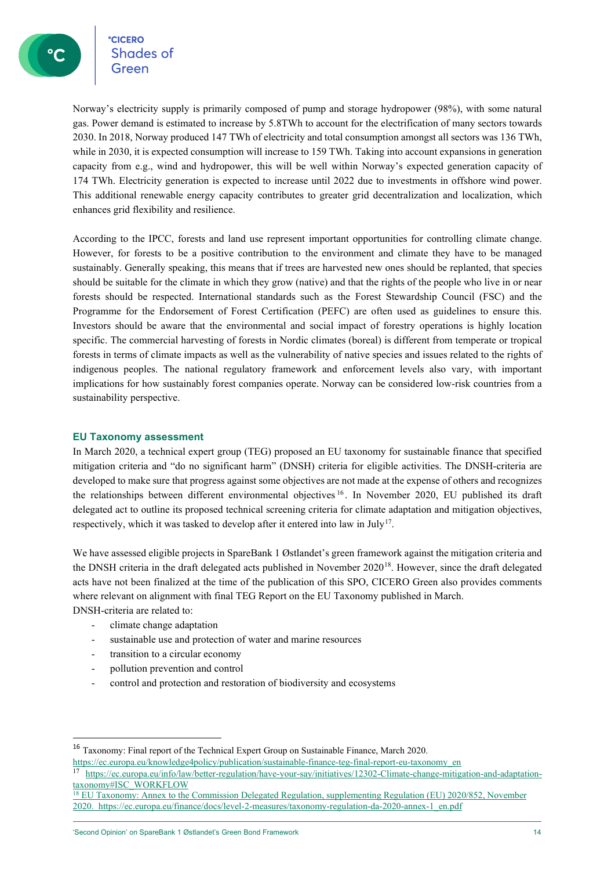**CICERO** °cicero<br>Shades of

Norway's electricity supply is primarily composed of pump and storage hydropower (98%), with some natural gas. Power demand is estimated to increase by 5.8TWh to account for the electrification of many sectors towards 2030. In 2018, Norway produced 147 TWh of electricity and total consumption amongst all sectors was 136 TWh, while in 2030, it is expected consumption will increase to 159 TWh. Taking into account expansions in generation capacity from e.g., wind and hydropower, this will be well within Norway's expected generation capacity of 174 TWh. Electricity generation is expected to increase until 2022 due to investments in offshore wind power. This additional renewable energy capacity contributes to greater grid decentralization and localization, which enhances grid flexibility and resilience.

According to the IPCC, forests and land use represent important opportunities for controlling climate change. However, for forests to be a positive contribution to the environment and climate they have to be managed sustainably. Generally speaking, this means that if trees are harvested new ones should be replanted, that species should be suitable for the climate in which they grow (native) and that the rights of the people who live in or near forests should be respected. International standards such as the Forest Stewardship Council (FSC) and the Programme for the Endorsement of Forest Certification (PEFC) are often used as guidelines to ensure this. Investors should be aware that the environmental and social impact of forestry operations is highly location specific. The commercial harvesting of forests in Nordic climates (boreal) is different from temperate or tropical forests in terms of climate impacts as well as the vulnerability of native species and issues related to the rights of indigenous peoples. The national regulatory framework and enforcement levels also vary, with important implications for how sustainably forest companies operate. Norway can be considered low-risk countries from a sustainability perspective.

#### **EU Taxonomy assessment**

In March 2020, a technical expert group (TEG) proposed an EU taxonomy for sustainable finance that specified mitigation criteria and "do no significant harm" (DNSH) criteria for eligible activities. The DNSH-criteria are developed to make sure that progress against some objectives are not made at the expense of others and recognizes the relationships between different environmental objectives [16](#page-13-0) . In November 2020, EU published its draft delegated act to outline its proposed technical screening criteria for climate adaptation and mitigation objectives, respectively, which it was tasked to develop after it entered into law in July<sup>[17](#page-13-1)</sup>.

We have assessed eligible projects in SpareBank 1 Østlandet's green framework against the mitigation criteria and the DNSH criteria in the draft delegated acts published in November 2020<sup>18</sup>. However, since the draft delegated acts have not been finalized at the time of the publication of this SPO, CICERO Green also provides comments where relevant on alignment with final TEG Report on the EU Taxonomy published in March. DNSH-criteria are related to:

climate change adaptation

- sustainable use and protection of water and marine resources
- transition to a circular economy
- pollution prevention and control
- control and protection and restoration of biodiversity and ecosystems

'Second Opinion' on SpareBank 1 Østlandet's Green Bond Framework 14

<span id="page-13-0"></span><sup>16</sup> Taxonomy: Final report of the Technical Expert Group on Sustainable Finance, March 2020.

<span id="page-13-1"></span>https://ec.europa.eu/knowledge4policy/publication/sustainable-finance-teg-final-report-eu-taxonomy\_en<br><sup>17</sup> https://ec.europa.eu/info/law/better-regulation/have-your-say/initiatives/12302-Climate-change-mitigation-and-adapt taxonomy#ISC\_WORKFLOW<br><sup>18</sup> EU Taxonomy: Annex to the Commission Delegated Regulation, supplementing Regulation (EU) 2020/852, November

<span id="page-13-2"></span><sup>2020.</sup> [https://ec.europa.eu/finance/docs/level-2-measures/taxonomy-regulation-da-2020-annex-1\\_en.pdf](https://ec.europa.eu/knowledge4policy/publication/sustainable-finance-teg-final-report-eu-taxonomy_en)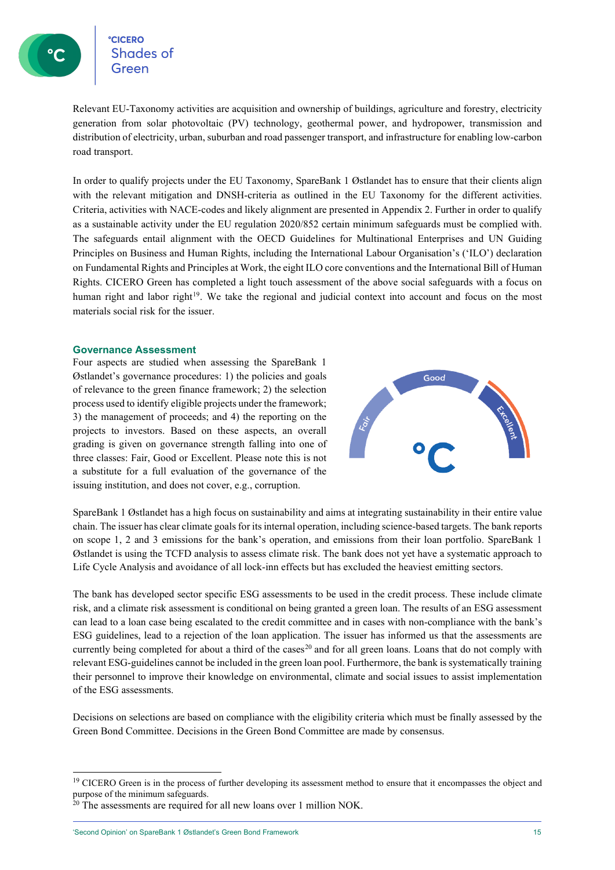Relevant EU-Taxonomy activities are acquisition and ownership of buildings, agriculture and forestry, electricity generation from solar photovoltaic (PV) technology, geothermal power, and hydropower, transmission and distribution of electricity, urban, suburban and road passenger transport, and infrastructure for enabling low-carbon road transport.

In order to qualify projects under the EU Taxonomy, SpareBank 1 Østlandet has to ensure that their clients align with the relevant mitigation and DNSH-criteria as outlined in the EU Taxonomy for the different activities. Criteria, activities with NACE-codes and likely alignment are presented in Appendix 2. Further in order to qualify as a sustainable activity under the EU regulation 2020/852 certain minimum safeguards must be complied with. The safeguards entail alignment with the OECD Guidelines for Multinational Enterprises and UN Guiding Principles on Business and Human Rights, including the International Labour Organisation's ('ILO') declaration on Fundamental Rights and Principles at Work, the eight ILO core conventions and the International Bill of Human Rights. CICERO Green has completed a light touch assessment of the above social safeguards with a focus on human right and labor right<sup>[19](#page-14-0)</sup>. We take the regional and judicial context into account and focus on the most materials social risk for the issuer.

#### **Governance Assessment**

Four aspects are studied when assessing the SpareBank 1 Østlandet's governance procedures: 1) the policies and goals of relevance to the green finance framework; 2) the selection process used to identify eligible projects under the framework; 3) the management of proceeds; and 4) the reporting on the projects to investors. Based on these aspects, an overall grading is given on governance strength falling into one of three classes: Fair, Good or Excellent. Please note this is not a substitute for a full evaluation of the governance of the issuing institution, and does not cover, e.g., corruption.



SpareBank 1 Østlandet has a high focus on sustainability and aims at integrating sustainability in their entire value chain. The issuer has clear climate goalsfor itsinternal operation, including science-based targets. The bank reports on scope 1, 2 and 3 emissions for the bank's operation, and emissions from their loan portfolio. SpareBank 1 Østlandet is using the TCFD analysis to assess climate risk. The bank does not yet have a systematic approach to Life Cycle Analysis and avoidance of all lock-inn effects but has excluded the heaviest emitting sectors.

The bank has developed sector specific ESG assessments to be used in the credit process. These include climate risk, and a climate risk assessment is conditional on being granted a green loan. The results of an ESG assessment can lead to a loan case being escalated to the credit committee and in cases with non-compliance with the bank's ESG guidelines, lead to a rejection of the loan application. The issuer has informed us that the assessments are currently being completed for about a third of the cases<sup>20</sup> and for all green loans. Loans that do not comply with relevant ESG-guidelines cannot be included in the green loan pool. Furthermore, the bank is systematically training their personnel to improve their knowledge on environmental, climate and social issues to assist implementation of the ESG assessments.

Decisions on selections are based on compliance with the eligibility criteria which must be finally assessed by the Green Bond Committee. Decisions in the Green Bond Committee are made by consensus.

'Second Opinion' on SpareBank 1 Østlandet's Green Bond Framework 15

<span id="page-14-0"></span><sup>&</sup>lt;sup>19</sup> CICERO Green is in the process of further developing its assessment method to ensure that it encompasses the object and purpose of the minimum safeguards.

<span id="page-14-1"></span> $20$  The assessments are required for all new loans over 1 million NOK.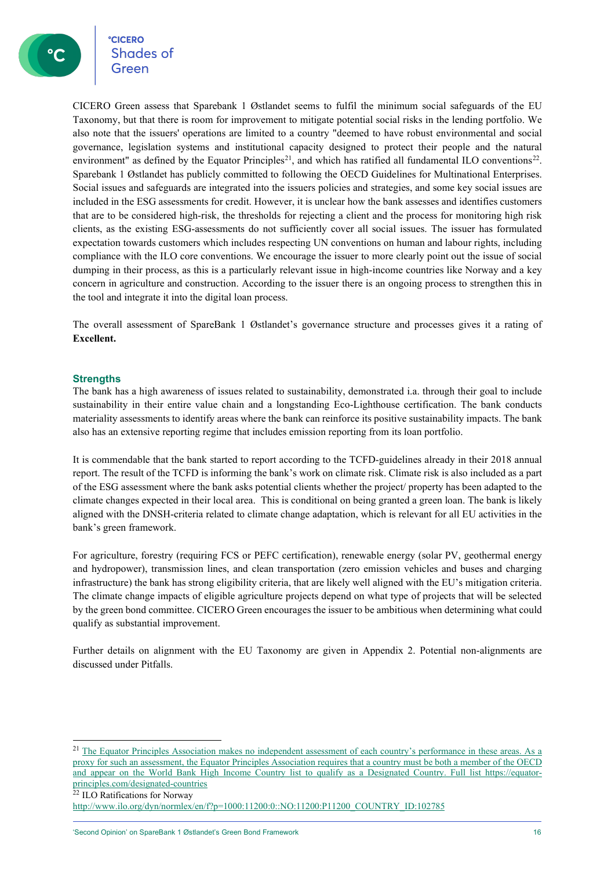CICERO Green assess that Sparebank 1 Østlandet seems to fulfil the minimum social safeguards of the EU Taxonomy, but that there is room for improvement to mitigate potential social risks in the lending portfolio. We also note that the issuers' operations are limited to a country "deemed to have robust environmental and social governance, legislation systems and institutional capacity designed to protect their people and the natural environment" as defined by the Equator Principles<sup>[21](#page-15-0)</sup>, and which has ratified all fundamental ILO conventions<sup>[22](#page-15-1)</sup>. Sparebank 1 Østlandet has publicly committed to following the OECD Guidelines for Multinational Enterprises. Social issues and safeguards are integrated into the issuers policies and strategies, and some key social issues are included in the ESG assessments for credit. However, it is unclear how the bank assesses and identifies customers that are to be considered high-risk, the thresholds for rejecting a client and the process for monitoring high risk clients, as the existing ESG-assessments do not sufficiently cover all social issues. The issuer has formulated expectation towards customers which includes respecting UN conventions on human and labour rights, including compliance with the ILO core conventions. We encourage the issuer to more clearly point out the issue of social dumping in their process, as this is a particularly relevant issue in high-income countries like Norway and a key concern in agriculture and construction. According to the issuer there is an ongoing process to strengthen this in the tool and integrate it into the digital loan process.

The overall assessment of SpareBank 1 Østlandet's governance structure and processes gives it a rating of **Excellent.**

#### **Strengths**

The bank has a high awareness of issues related to sustainability, demonstrated i.a. through their goal to include sustainability in their entire value chain and a longstanding Eco-Lighthouse certification. The bank conducts materiality assessments to identify areas where the bank can reinforce its positive sustainability impacts. The bank also has an extensive reporting regime that includes emission reporting from its loan portfolio.

It is commendable that the bank started to report according to the TCFD-guidelines already in their 2018 annual report. The result of the TCFD is informing the bank's work on climate risk. Climate risk is also included as a part of the ESG assessment where the bank asks potential clients whether the project/ property has been adapted to the climate changes expected in their local area. This is conditional on being granted a green loan. The bank is likely aligned with the DNSH-criteria related to climate change adaptation, which is relevant for all EU activities in the bank's green framework.

For agriculture, forestry (requiring FCS or PEFC certification), renewable energy (solar PV, geothermal energy and hydropower), transmission lines, and clean transportation (zero emission vehicles and buses and charging infrastructure) the bank has strong eligibility criteria, that are likely well aligned with the EU's mitigation criteria. The climate change impacts of eligible agriculture projects depend on what type of projects that will be selected by the green bond committee. CICERO Green encourages the issuer to be ambitious when determining what could qualify as substantial improvement.

Further details on alignment with the EU Taxonomy are given in Appendix 2. Potential non-alignments are discussed under Pitfalls.

<span id="page-15-0"></span><sup>&</sup>lt;sup>21</sup> The Equator Principles Association makes no independent assessment of each country's performance in these areas. As a proxy for such an assessment, the Equator Principles Association requires that a country must be both a member of the OECD and appear on the World Bank High Income Country list to qualify as a Designated Country. Full list [https://equator](https://equator-principles.com/designated-countries)[principles.com/designated-countries](https://equator-principles.com/designated-countries)

<span id="page-15-1"></span><sup>22</sup> ILO Ratifications for Norway

[http://www.ilo.org/dyn/normlex/en/f?p=1000:11200:0::NO:11200:P11200\\_COUNTRY\\_ID:102785](http://www.ilo.org/dyn/normlex/en/f?p=1000:11200:0::NO:11200:P11200_COUNTRY_ID:102785)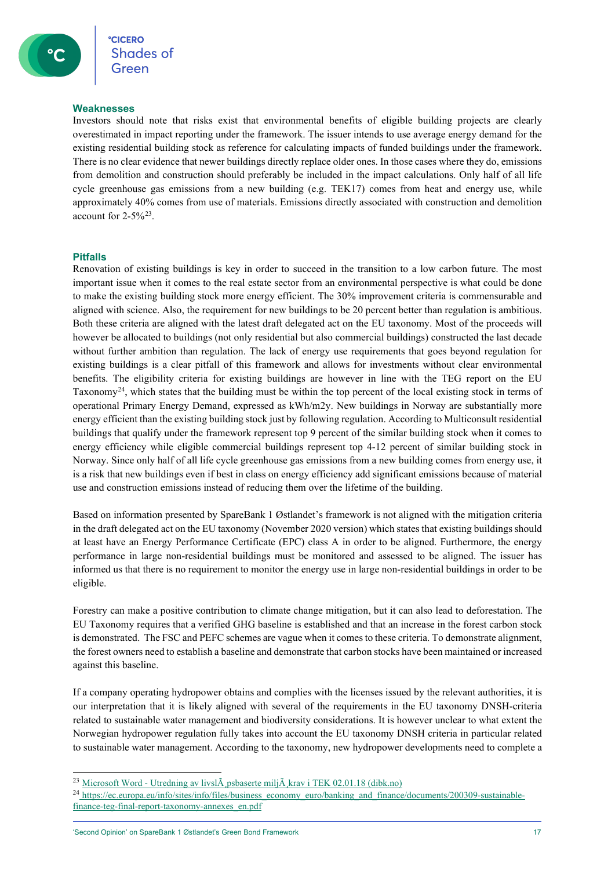#### **Weaknesses**

Investors should note that risks exist that environmental benefits of eligible building projects are clearly overestimated in impact reporting under the framework. The issuer intends to use average energy demand for the existing residential building stock as reference for calculating impacts of funded buildings under the framework. There is no clear evidence that newer buildings directly replace older ones. In those cases where they do, emissions from demolition and construction should preferably be included in the impact calculations. Only half of all life cycle greenhouse gas emissions from a new building (e.g. TEK17) comes from heat and energy use, while approximately 40% comes from use of materials. Emissions directly associated with construction and demolition account for 2-5%[23](#page-16-0).

#### **Pitfalls**

Renovation of existing buildings is key in order to succeed in the transition to a low carbon future. The most important issue when it comes to the real estate sector from an environmental perspective is what could be done to make the existing building stock more energy efficient. The 30% improvement criteria is commensurable and aligned with science. Also, the requirement for new buildings to be 20 percent better than regulation is ambitious. Both these criteria are aligned with the latest draft delegated act on the EU taxonomy. Most of the proceeds will however be allocated to buildings (not only residential but also commercial buildings) constructed the last decade without further ambition than regulation. The lack of energy use requirements that goes beyond regulation for existing buildings is a clear pitfall of this framework and allows for investments without clear environmental benefits. The eligibility criteria for existing buildings are however in line with the TEG report on the EU Taxonomy[24,](#page-16-1) which states that the building must be within the top percent of the local existing stock in terms of operational Primary Energy Demand, expressed as kWh/m2y. New buildings in Norway are substantially more energy efficient than the existing building stock just by following regulation. According to Multiconsult residential buildings that qualify under the framework represent top 9 percent of the similar building stock when it comes to energy efficiency while eligible commercial buildings represent top 4-12 percent of similar building stock in Norway. Since only half of all life cycle greenhouse gas emissions from a new building comes from energy use, it is a risk that new buildings even if best in class on energy efficiency add significant emissions because of material use and construction emissions instead of reducing them over the lifetime of the building.

Based on information presented by SpareBank 1 Østlandet's framework is not aligned with the mitigation criteria in the draft delegated act on the EU taxonomy (November 2020 version) which states that existing buildings should at least have an Energy Performance Certificate (EPC) class A in order to be aligned. Furthermore, the energy performance in large non-residential buildings must be monitored and assessed to be aligned. The issuer has informed us that there is no requirement to monitor the energy use in large non-residential buildings in order to be eligible.

Forestry can make a positive contribution to climate change mitigation, but it can also lead to deforestation. The EU Taxonomy requires that a verified GHG baseline is established and that an increase in the forest carbon stock is demonstrated. The FSC and PEFC schemes are vague when it comes to these criteria. To demonstrate alignment, the forest owners need to establish a baseline and demonstrate that carbon stocks have been maintained or increased against this baseline.

If a company operating hydropower obtains and complies with the licenses issued by the relevant authorities, it is our interpretation that it is likely aligned with several of the requirements in the EU taxonomy DNSH-criteria related to sustainable water management and biodiversity considerations. It is however unclear to what extent the Norwegian hydropower regulation fully takes into account the EU taxonomy DNSH criteria in particular related to sustainable water management. According to the taxonomy, new hydropower developments need to complete a

<span id="page-16-0"></span><sup>&</sup>lt;sup>23</sup> Microsoft Word - Utredning av livsl $\tilde{A}$  psbaserte milj $\tilde{A}$ , krav i TEK 02.01.18 (dibk.no)

<span id="page-16-1"></span><sup>&</sup>lt;sup>24</sup> [https://ec.europa.eu/info/sites/info/files/business\\_economy\\_euro/banking\\_and\\_finance/documents/200309-sustainable](https://ec.europa.eu/info/sites/info/files/business_economy_euro/banking_and_finance/documents/200309-sustainable-finance-teg-final-report-taxonomy-annexes_en.pdf)[finance-teg-final-report-taxonomy-annexes\\_en.pdf](https://ec.europa.eu/info/sites/info/files/business_economy_euro/banking_and_finance/documents/200309-sustainable-finance-teg-final-report-taxonomy-annexes_en.pdf)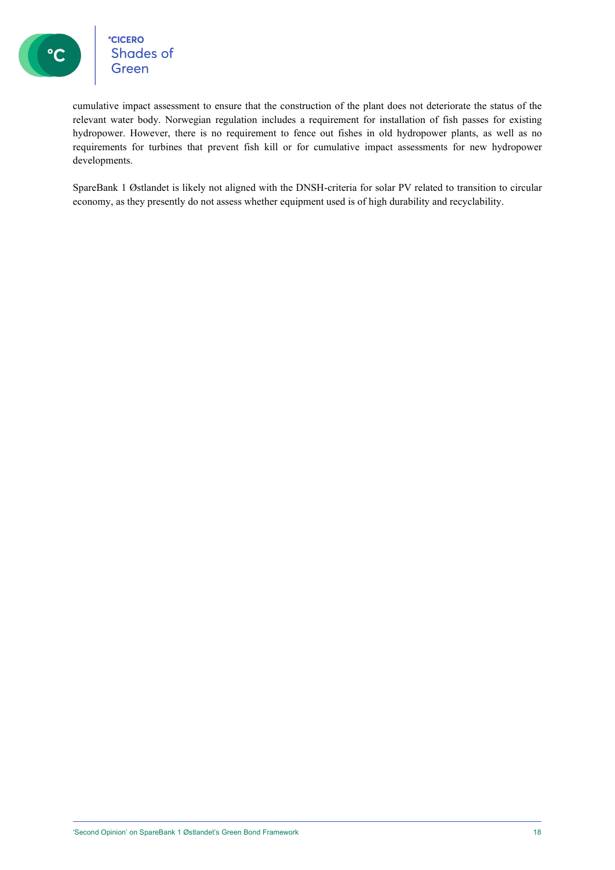

°cicero<br>Shades of<br>Green

cumulative impact assessment to ensure that the construction of the plant does not deteriorate the status of the relevant water body. Norwegian regulation includes a requirement for installation of fish passes for existing hydropower. However, there is no requirement to fence out fishes in old hydropower plants, as well as no requirements for turbines that prevent fish kill or for cumulative impact assessments for new hydropower developments.

SpareBank 1 Østlandet is likely not aligned with the DNSH-criteria for solar PV related to transition to circular economy, as they presently do not assess whether equipment used is of high durability and recyclability.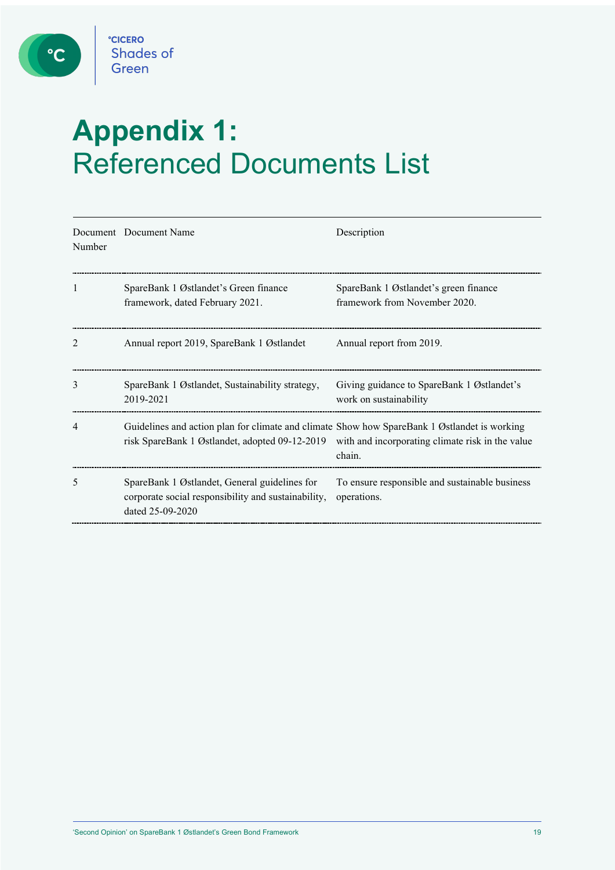

C

# **Appendix 1:**  Referenced Documents List

| Number         | Document Document Name                                                                                                                                                                          | Description                                                            |
|----------------|-------------------------------------------------------------------------------------------------------------------------------------------------------------------------------------------------|------------------------------------------------------------------------|
| 1              | SpareBank 1 Østlandet's Green finance<br>framework, dated February 2021.                                                                                                                        | SpareBank 1 Østlandet's green finance<br>framework from November 2020. |
| $\mathfrak{D}$ | Annual report 2019, SpareBank 1 Østlandet                                                                                                                                                       | Annual report from 2019.                                               |
| 3              | SpareBank 1 Østlandet, Sustainability strategy,<br>2019-2021                                                                                                                                    | Giving guidance to SpareBank 1 Østlandet's<br>work on sustainability   |
|                | Guidelines and action plan for climate and climate Show how SpareBank 1 Østlandet is working<br>risk SpareBank 1 Østlandet, adopted 09-12-2019 with and incorporating climate risk in the value | chain.                                                                 |
| 5              | SpareBank 1 Østlandet, General guidelines for<br>corporate social responsibility and sustainability,<br>dated 25-09-2020                                                                        | To ensure responsible and sustainable business<br>operations.          |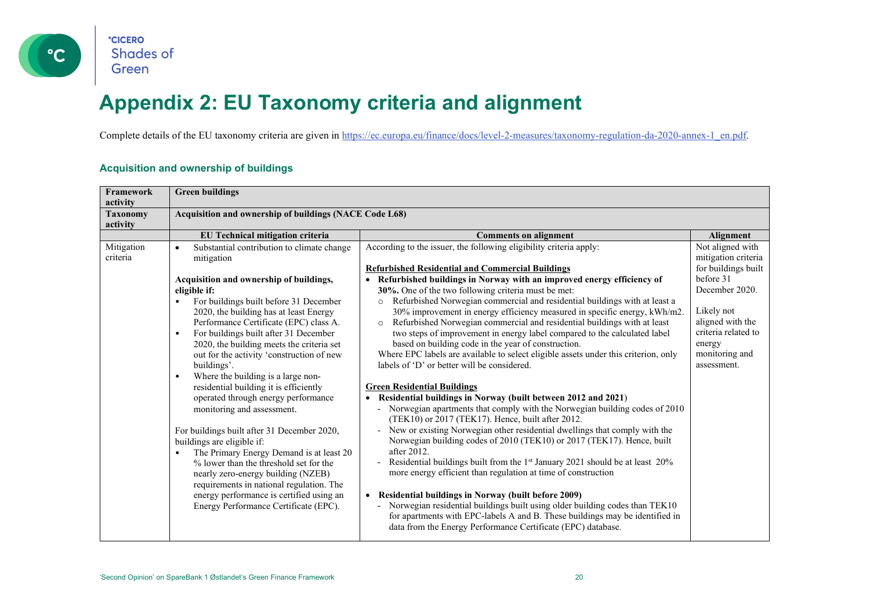

## **Appendix 2: EU Taxonomy criteria and alignment**

Complete details of the EU taxonomy criteria are given in [https://ec.europa.eu/finance/docs/level-2-measures/taxonomy-regulation-da-2020-annex-1\\_en.pdf.](https://ec.europa.eu/finance/docs/level-2-measures/taxonomy-regulation-da-2020-annex-1_en.pdf)

#### **Acquisition and ownership of buildings**

| Framework<br>activity       | <b>Green buildings</b>                                                                                                                                                                                                                                                                                                                                                                                                                                                                                                                                                                                                                                                                                                                                                                                                                                                                                                                                              |                                                                                                                                                                                                                                                                                                                                                                                                                                                                                                                                                                                                                                                                                                                                                                                                                                                                                                                                                                                                                                                                                                                                                                                                                                                                                                                                                                                                                                                                                                                                                                                                                                                                                    |                                                                                                                                                                                                   |  |  |
|-----------------------------|---------------------------------------------------------------------------------------------------------------------------------------------------------------------------------------------------------------------------------------------------------------------------------------------------------------------------------------------------------------------------------------------------------------------------------------------------------------------------------------------------------------------------------------------------------------------------------------------------------------------------------------------------------------------------------------------------------------------------------------------------------------------------------------------------------------------------------------------------------------------------------------------------------------------------------------------------------------------|------------------------------------------------------------------------------------------------------------------------------------------------------------------------------------------------------------------------------------------------------------------------------------------------------------------------------------------------------------------------------------------------------------------------------------------------------------------------------------------------------------------------------------------------------------------------------------------------------------------------------------------------------------------------------------------------------------------------------------------------------------------------------------------------------------------------------------------------------------------------------------------------------------------------------------------------------------------------------------------------------------------------------------------------------------------------------------------------------------------------------------------------------------------------------------------------------------------------------------------------------------------------------------------------------------------------------------------------------------------------------------------------------------------------------------------------------------------------------------------------------------------------------------------------------------------------------------------------------------------------------------------------------------------------------------|---------------------------------------------------------------------------------------------------------------------------------------------------------------------------------------------------|--|--|
| <b>Taxonomy</b><br>activity | Acquisition and ownership of buildings (NACE Code L68)                                                                                                                                                                                                                                                                                                                                                                                                                                                                                                                                                                                                                                                                                                                                                                                                                                                                                                              |                                                                                                                                                                                                                                                                                                                                                                                                                                                                                                                                                                                                                                                                                                                                                                                                                                                                                                                                                                                                                                                                                                                                                                                                                                                                                                                                                                                                                                                                                                                                                                                                                                                                                    |                                                                                                                                                                                                   |  |  |
|                             | EU Technical mitigation criteria                                                                                                                                                                                                                                                                                                                                                                                                                                                                                                                                                                                                                                                                                                                                                                                                                                                                                                                                    | <b>Comments on alignment</b>                                                                                                                                                                                                                                                                                                                                                                                                                                                                                                                                                                                                                                                                                                                                                                                                                                                                                                                                                                                                                                                                                                                                                                                                                                                                                                                                                                                                                                                                                                                                                                                                                                                       | <b>Alignment</b>                                                                                                                                                                                  |  |  |
| Mitigation<br>criteria      | Substantial contribution to climate change<br>$\bullet$<br>mitigation<br>Acquisition and ownership of buildings,<br>eligible if:<br>For buildings built before 31 December<br>$\bullet$<br>2020, the building has at least Energy<br>Performance Certificate (EPC) class A.<br>For buildings built after 31 December<br>$\bullet$<br>2020, the building meets the criteria set<br>out for the activity 'construction of new<br>buildings'.<br>Where the building is a large non-<br>$\bullet$<br>residential building it is efficiently<br>operated through energy performance<br>monitoring and assessment.<br>For buildings built after 31 December 2020,<br>buildings are eligible if:<br>The Primary Energy Demand is at least 20<br>$\bullet$<br>% lower than the threshold set for the<br>nearly zero-energy building (NZEB)<br>requirements in national regulation. The<br>energy performance is certified using an<br>Energy Performance Certificate (EPC). | According to the issuer, the following eligibility criteria apply:<br><b>Refurbished Residential and Commercial Buildings</b><br>Refurbished buildings in Norway with an improved energy efficiency of<br>30%. One of the two following criteria must be met:<br>Refurbished Norwegian commercial and residential buildings with at least a<br>$\circ$<br>30% improvement in energy efficiency measured in specific energy, kWh/m2.<br>Refurbished Norwegian commercial and residential buildings with at least<br>$\circ$<br>two steps of improvement in energy label compared to the calculated label<br>based on building code in the year of construction.<br>Where EPC labels are available to select eligible assets under this criterion, only<br>labels of 'D' or better will be considered.<br><b>Green Residential Buildings</b><br>• Residential buildings in Norway (built between 2012 and 2021)<br>- Norwegian apartments that comply with the Norwegian building codes of 2010<br>(TEK10) or 2017 (TEK17). Hence, built after 2012.<br>- New or existing Norwegian other residential dwellings that comply with the<br>Norwegian building codes of 2010 (TEK10) or 2017 (TEK17). Hence, built<br>after 2012.<br>- Residential buildings built from the 1 <sup>st</sup> January 2021 should be at least 20%<br>more energy efficient than regulation at time of construction<br>• Residential buildings in Norway (built before 2009)<br>Norwegian residential buildings built using older building codes than TEK10<br>for apartments with EPC-labels A and B. These buildings may be identified in<br>data from the Energy Performance Certificate (EPC) database. | Not aligned with<br>mitigation criteria<br>for buildings built<br>before 31<br>December 2020.<br>Likely not<br>aligned with the<br>criteria related to<br>energy<br>monitoring and<br>assessment. |  |  |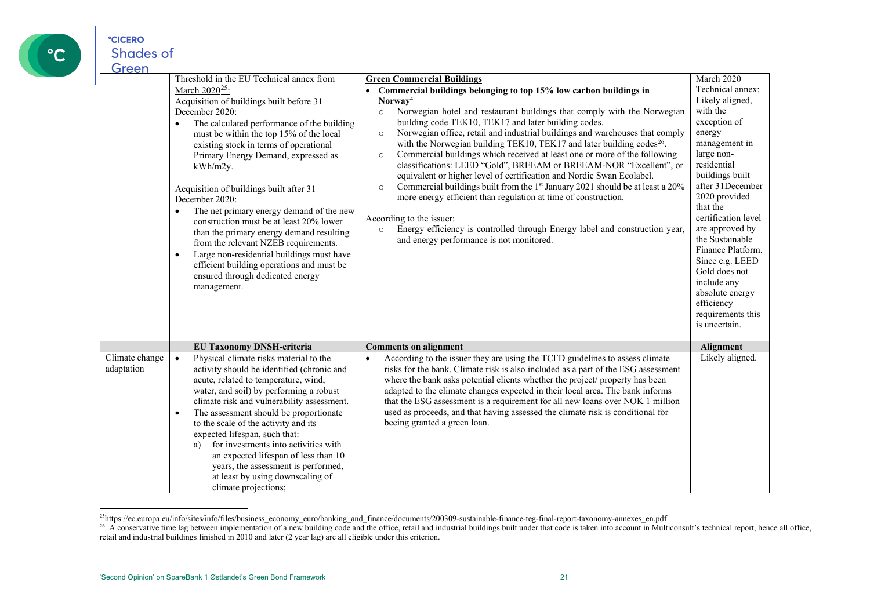

## <span id="page-20-1"></span><span id="page-20-0"></span>Green March 2020<sup>[25](#page-20-0)</sup>:

|                              | Threshold in the EU Technical annex from                                                                                                                                                                                                                                                                                                                                                                                                                                                                                                                                                                                                                                                                   | <b>Green Commercial Buildings</b>                                                                                                                                                                                                                                                                                                                                                                                                                                                                                                                                                                                                                                                                                                                                                                                                                                                                                                                                                             | March 2020                                                                                                                                                                                                                                                                                                                                                                                              |
|------------------------------|------------------------------------------------------------------------------------------------------------------------------------------------------------------------------------------------------------------------------------------------------------------------------------------------------------------------------------------------------------------------------------------------------------------------------------------------------------------------------------------------------------------------------------------------------------------------------------------------------------------------------------------------------------------------------------------------------------|-----------------------------------------------------------------------------------------------------------------------------------------------------------------------------------------------------------------------------------------------------------------------------------------------------------------------------------------------------------------------------------------------------------------------------------------------------------------------------------------------------------------------------------------------------------------------------------------------------------------------------------------------------------------------------------------------------------------------------------------------------------------------------------------------------------------------------------------------------------------------------------------------------------------------------------------------------------------------------------------------|---------------------------------------------------------------------------------------------------------------------------------------------------------------------------------------------------------------------------------------------------------------------------------------------------------------------------------------------------------------------------------------------------------|
|                              | March 2020 <sup>25</sup> :<br>Acquisition of buildings built before 31<br>December 2020:<br>The calculated performance of the building<br>$\bullet$<br>must be within the top 15% of the local<br>existing stock in terms of operational<br>Primary Energy Demand, expressed as<br>kWh/m2y.<br>Acquisition of buildings built after 31<br>December 2020:<br>The net primary energy demand of the new<br>$\bullet$<br>construction must be at least 20% lower<br>than the primary energy demand resulting<br>from the relevant NZEB requirements.<br>Large non-residential buildings must have<br>$\bullet$<br>efficient building operations and must be<br>ensured through dedicated energy<br>management. | Commercial buildings belonging to top 15% low carbon buildings in<br>Norway <sup>4</sup><br>Norwegian hotel and restaurant buildings that comply with the Norwegian<br>$\circ$<br>building code TEK10, TEK17 and later building codes.<br>Norwegian office, retail and industrial buildings and warehouses that comply<br>$\circ$<br>with the Norwegian building TEK10, TEK17 and later building codes <sup>26</sup> .<br>Commercial buildings which received at least one or more of the following<br>$\circ$<br>classifications: LEED "Gold", BREEAM or BREEAM-NOR "Excellent", or<br>equivalent or higher level of certification and Nordic Swan Ecolabel.<br>Commercial buildings built from the 1st January 2021 should be at least a 20%<br>$\circ$<br>more energy efficient than regulation at time of construction.<br>According to the issuer:<br>Energy efficiency is controlled through Energy label and construction year,<br>$\circ$<br>and energy performance is not monitored. | Technical annex:<br>Likely aligned,<br>with the<br>exception of<br>energy<br>management in<br>large non-<br>residential<br>buildings built<br>after 31December<br>2020 provided<br>that the<br>certification level<br>are approved by<br>the Sustainable<br>Finance Platform.<br>Since e.g. LEED<br>Gold does not<br>include any<br>absolute energy<br>efficiency<br>requirements this<br>is uncertain. |
|                              | <b>EU Taxonomy DNSH-criteria</b>                                                                                                                                                                                                                                                                                                                                                                                                                                                                                                                                                                                                                                                                           | <b>Comments on alignment</b>                                                                                                                                                                                                                                                                                                                                                                                                                                                                                                                                                                                                                                                                                                                                                                                                                                                                                                                                                                  | Alignment                                                                                                                                                                                                                                                                                                                                                                                               |
| Climate change<br>adaptation | Physical climate risks material to the<br>$\bullet$<br>activity should be identified (chronic and<br>acute, related to temperature, wind,<br>water, and soil) by performing a robust<br>climate risk and vulnerability assessment.<br>The assessment should be proportionate<br>$\bullet$<br>to the scale of the activity and its<br>expected lifespan, such that:<br>for investments into activities with<br>a)<br>an expected lifespan of less than 10<br>years, the assessment is performed,<br>at least by using downscaling of<br>climate projections;                                                                                                                                                | According to the issuer they are using the TCFD guidelines to assess climate<br>$\bullet$<br>risks for the bank. Climate risk is also included as a part of the ESG assessment<br>where the bank asks potential clients whether the project/ property has been<br>adapted to the climate changes expected in their local area. The bank informs<br>that the ESG assessment is a requirement for all new loans over NOK 1 million<br>used as proceeds, and that having assessed the climate risk is conditional for<br>beeing granted a green loan.                                                                                                                                                                                                                                                                                                                                                                                                                                            | Likely aligned.                                                                                                                                                                                                                                                                                                                                                                                         |

<sup>25</sup>https://ec.europa.eu/info/sites/info/files/business\_economy\_euro/banking\_and\_finance/documents/200309-sustainable-finance-teg-final-report-taxonomy-annexes\_en.pdf

 $^{26}$  A conservative time lag between implementation of a new building code and the office, retail and industrial buildings built under that code is taken into account in Multiconsult's technical report, hence all office retail and industrial buildings finished in 2010 and later (2 year lag) are all eligible under this criterion.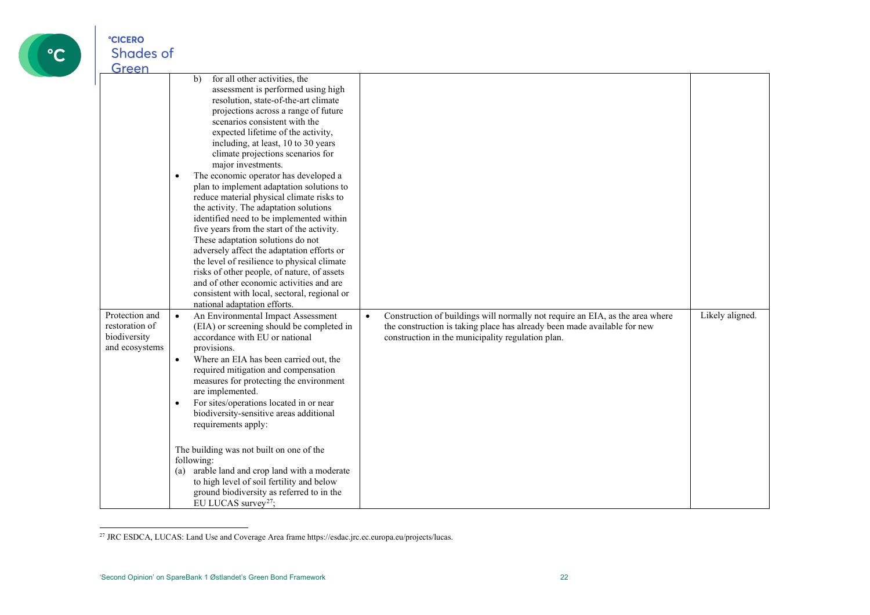

<span id="page-21-0"></span>

| Green<br>Protection and<br>restoration of<br>biodiversity<br>and ecosystems | for all other activities, the<br>b)<br>assessment is performed using high<br>resolution, state-of-the-art climate<br>projections across a range of future<br>scenarios consistent with the<br>expected lifetime of the activity,<br>including, at least, 10 to 30 years<br>climate projections scenarios for<br>major investments.<br>The economic operator has developed a<br>$\bullet$<br>plan to implement adaptation solutions to<br>reduce material physical climate risks to<br>the activity. The adaptation solutions<br>identified need to be implemented within<br>five years from the start of the activity.<br>These adaptation solutions do not<br>adversely affect the adaptation efforts or<br>the level of resilience to physical climate<br>risks of other people, of nature, of assets<br>and of other economic activities and are<br>consistent with local, sectoral, regional or<br>national adaptation efforts.<br>An Environmental Impact Assessment<br>$\bullet$<br>(EIA) or screening should be completed in<br>accordance with EU or national<br>provisions.<br>Where an EIA has been carried out, the<br>$\bullet$<br>required mitigation and compensation<br>measures for protecting the environment<br>are implemented.<br>For sites/operations located in or near<br>biodiversity-sensitive areas additional<br>requirements apply:<br>The building was not built on one of the | Construction of buildings will normally not require an EIA, as the area where<br>$\bullet$<br>the construction is taking place has already been made available for new<br>construction in the municipality regulation plan. | Likely aligned. |
|-----------------------------------------------------------------------------|-------------------------------------------------------------------------------------------------------------------------------------------------------------------------------------------------------------------------------------------------------------------------------------------------------------------------------------------------------------------------------------------------------------------------------------------------------------------------------------------------------------------------------------------------------------------------------------------------------------------------------------------------------------------------------------------------------------------------------------------------------------------------------------------------------------------------------------------------------------------------------------------------------------------------------------------------------------------------------------------------------------------------------------------------------------------------------------------------------------------------------------------------------------------------------------------------------------------------------------------------------------------------------------------------------------------------------------------------------------------------------------------------------------|-----------------------------------------------------------------------------------------------------------------------------------------------------------------------------------------------------------------------------|-----------------|
|                                                                             | following:<br>arable land and crop land with a moderate<br>(a)<br>to high level of soil fertility and below<br>ground biodiversity as referred to in the<br>EU LUCAS survey <sup>27</sup> ;                                                                                                                                                                                                                                                                                                                                                                                                                                                                                                                                                                                                                                                                                                                                                                                                                                                                                                                                                                                                                                                                                                                                                                                                                 |                                                                                                                                                                                                                             |                 |

<sup>27</sup> JRC ESDCA, LUCAS: Land Use and Coverage Area frame https://esdac.jrc.ec.europa.eu/projects/lucas.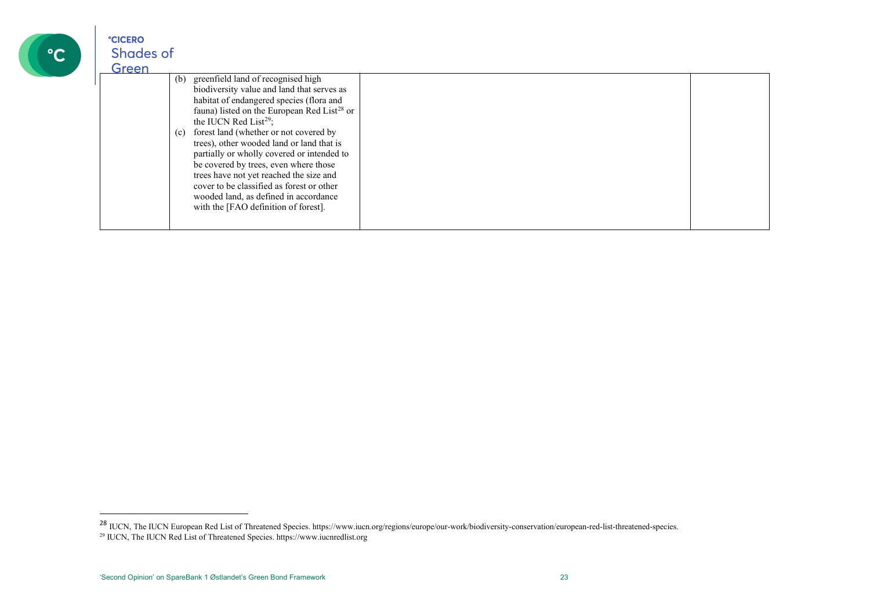| $\bullet \curvearrowright$ |  |
|----------------------------|--|
|                            |  |

<span id="page-22-1"></span><span id="page-22-0"></span>

| Green |                                                                                                                                                                                                                                                                                                                                                                                                                                                                                                                                                                                                   |  |
|-------|---------------------------------------------------------------------------------------------------------------------------------------------------------------------------------------------------------------------------------------------------------------------------------------------------------------------------------------------------------------------------------------------------------------------------------------------------------------------------------------------------------------------------------------------------------------------------------------------------|--|
|       | greenfield land of recognised high<br>(b)<br>biodiversity value and land that serves as<br>habitat of endangered species (flora and<br>fauna) listed on the European Red List <sup>28</sup> or<br>the IUCN Red List <sup>29</sup> ;<br>forest land (whether or not covered by<br>(c)<br>trees), other wooded land or land that is<br>partially or wholly covered or intended to<br>be covered by trees, even where those<br>trees have not yet reached the size and<br>cover to be classified as forest or other<br>wooded land, as defined in accordance<br>with the [FAO definition of forest]. |  |
|       |                                                                                                                                                                                                                                                                                                                                                                                                                                                                                                                                                                                                   |  |

 $^{28}$  IUCN, The IUCN European Red List of Threatened Species. https://www.iucn.org/regions/europe/our-work/biodiversity-conservation/european-red-list-threatened-species.<br><sup>29</sup> IUCN, The IUCN Red List of Threatened Specie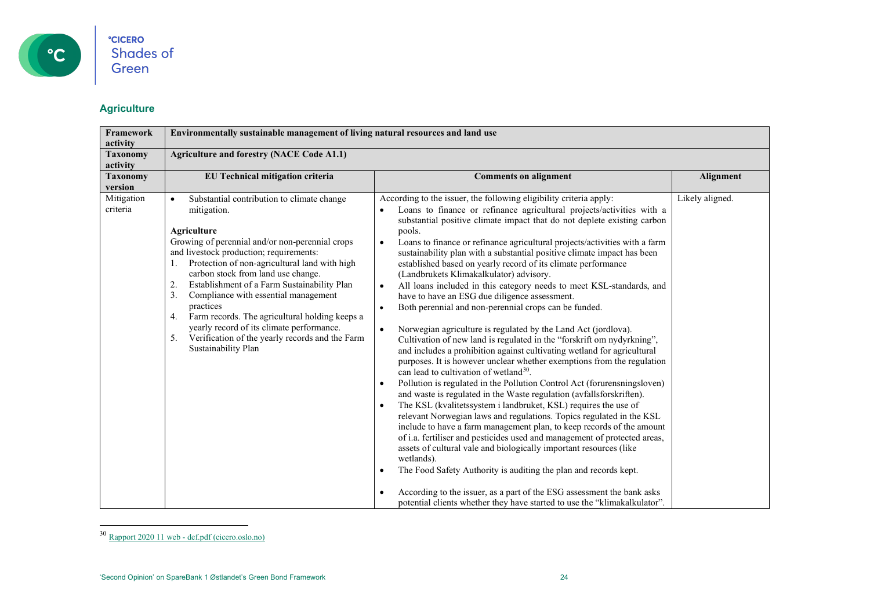

#### <span id="page-23-0"></span>**Agriculture**

| Framework<br>activity       | Environmentally sustainable management of living natural resources and land use                                                                                                                                                                                                                                                                                                                                                                                                                                                                                                        |                                                                                                                                                                                                                                                                                                                                                                                                                                                                                                                                                                                                                                                                                                                                                                                                                                                                                                                                                                                                                                                                                                                                                                                                                                                                                                                                                                                                                                                                                                                                                                                                                                                                                                                                                                                                                                                                                                               |                 |  |  |
|-----------------------------|----------------------------------------------------------------------------------------------------------------------------------------------------------------------------------------------------------------------------------------------------------------------------------------------------------------------------------------------------------------------------------------------------------------------------------------------------------------------------------------------------------------------------------------------------------------------------------------|---------------------------------------------------------------------------------------------------------------------------------------------------------------------------------------------------------------------------------------------------------------------------------------------------------------------------------------------------------------------------------------------------------------------------------------------------------------------------------------------------------------------------------------------------------------------------------------------------------------------------------------------------------------------------------------------------------------------------------------------------------------------------------------------------------------------------------------------------------------------------------------------------------------------------------------------------------------------------------------------------------------------------------------------------------------------------------------------------------------------------------------------------------------------------------------------------------------------------------------------------------------------------------------------------------------------------------------------------------------------------------------------------------------------------------------------------------------------------------------------------------------------------------------------------------------------------------------------------------------------------------------------------------------------------------------------------------------------------------------------------------------------------------------------------------------------------------------------------------------------------------------------------------------|-----------------|--|--|
| <b>Taxonomy</b><br>activity | <b>Agriculture and forestry (NACE Code A1.1)</b>                                                                                                                                                                                                                                                                                                                                                                                                                                                                                                                                       |                                                                                                                                                                                                                                                                                                                                                                                                                                                                                                                                                                                                                                                                                                                                                                                                                                                                                                                                                                                                                                                                                                                                                                                                                                                                                                                                                                                                                                                                                                                                                                                                                                                                                                                                                                                                                                                                                                               |                 |  |  |
| <b>Taxonomy</b><br>version  | EU Technical mitigation criteria                                                                                                                                                                                                                                                                                                                                                                                                                                                                                                                                                       | <b>Comments on alignment</b>                                                                                                                                                                                                                                                                                                                                                                                                                                                                                                                                                                                                                                                                                                                                                                                                                                                                                                                                                                                                                                                                                                                                                                                                                                                                                                                                                                                                                                                                                                                                                                                                                                                                                                                                                                                                                                                                                  | Alignment       |  |  |
| Mitigation<br>criteria      | Substantial contribution to climate change<br>$\bullet$<br>mitigation.<br><b>Agriculture</b><br>Growing of perennial and/or non-perennial crops<br>and livestock production; requirements:<br>Protection of non-agricultural land with high<br>carbon stock from land use change.<br>Establishment of a Farm Sustainability Plan<br>2.<br>Compliance with essential management<br>3.<br>practices<br>Farm records. The agricultural holding keeps a<br>4.<br>yearly record of its climate performance.<br>Verification of the yearly records and the Farm<br>5.<br>Sustainability Plan | According to the issuer, the following eligibility criteria apply:<br>Loans to finance or refinance agricultural projects/activities with a<br>substantial positive climate impact that do not deplete existing carbon<br>pools.<br>Loans to finance or refinance agricultural projects/activities with a farm<br>$\bullet$<br>sustainability plan with a substantial positive climate impact has been<br>established based on yearly record of its climate performance<br>(Landbrukets Klimakalkulator) advisory.<br>All loans included in this category needs to meet KSL-standards, and<br>$\bullet$<br>have to have an ESG due diligence assessment.<br>Both perennial and non-perennial crops can be funded.<br>$\bullet$<br>Norwegian agriculture is regulated by the Land Act (jordlova).<br>$\bullet$<br>Cultivation of new land is regulated in the "forskrift om nydyrkning",<br>and includes a prohibition against cultivating wetland for agricultural<br>purposes. It is however unclear whether exemptions from the regulation<br>can lead to cultivation of wetland <sup>30</sup> .<br>Pollution is regulated in the Pollution Control Act (forurensningsloven)<br>$\bullet$<br>and waste is regulated in the Waste regulation (avfallsforskriften).<br>The KSL (kvalitetssystem i landbruket, KSL) requires the use of<br>$\bullet$<br>relevant Norwegian laws and regulations. Topics regulated in the KSL<br>include to have a farm management plan, to keep records of the amount<br>of i.a. fertiliser and pesticides used and management of protected areas,<br>assets of cultural vale and biologically important resources (like<br>wetlands).<br>The Food Safety Authority is auditing the plan and records kept.<br>$\bullet$<br>According to the issuer, as a part of the ESG assessment the bank asks<br>potential clients whether they have started to use the "klimakalkulator". | Likely aligned. |  |  |

<sup>30</sup> Rapport 2020 11 web - [def.pdf \(cicero.oslo.no\)](https://pub.cicero.oslo.no/cicero-xmlui/bitstream/handle/11250/2721935/Rapport%202020%2011%20web%20-%20def.pdf?sequence=1&isAllowed=y)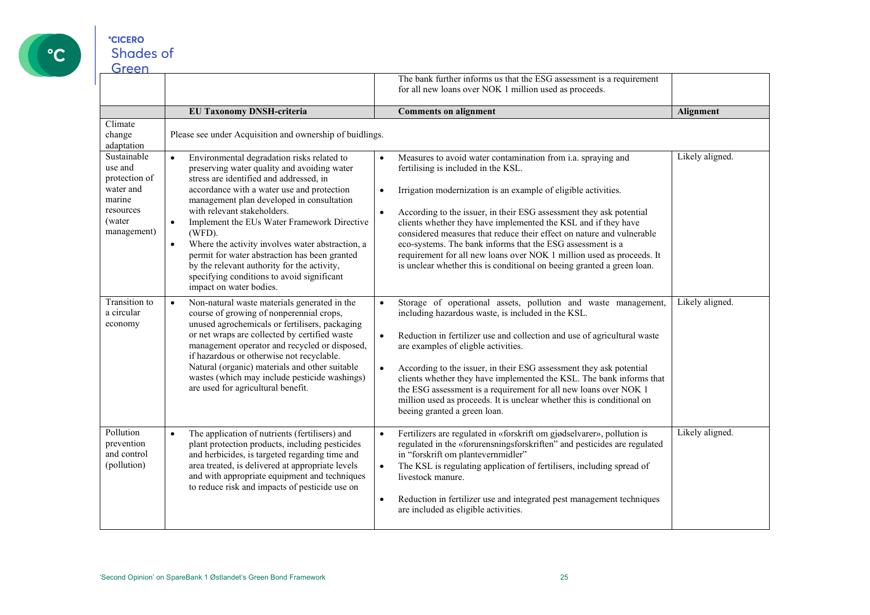

|                                                                                                      |                                                                                                                                                                                                                                                                                                                                                                                                                                                                                                                                                                                             |           | The bank further informs us that the ESG assessment is a requirement                                                                                                                                                                                                                                                                                                                                                                                                                                                                                                                                     |                 |
|------------------------------------------------------------------------------------------------------|---------------------------------------------------------------------------------------------------------------------------------------------------------------------------------------------------------------------------------------------------------------------------------------------------------------------------------------------------------------------------------------------------------------------------------------------------------------------------------------------------------------------------------------------------------------------------------------------|-----------|----------------------------------------------------------------------------------------------------------------------------------------------------------------------------------------------------------------------------------------------------------------------------------------------------------------------------------------------------------------------------------------------------------------------------------------------------------------------------------------------------------------------------------------------------------------------------------------------------------|-----------------|
|                                                                                                      |                                                                                                                                                                                                                                                                                                                                                                                                                                                                                                                                                                                             |           | for all new loans over NOK 1 million used as proceeds.                                                                                                                                                                                                                                                                                                                                                                                                                                                                                                                                                   |                 |
|                                                                                                      | <b>EU Taxonomy DNSH-criteria</b>                                                                                                                                                                                                                                                                                                                                                                                                                                                                                                                                                            |           | <b>Comments on alignment</b>                                                                                                                                                                                                                                                                                                                                                                                                                                                                                                                                                                             | Alignment       |
| Climate<br>change<br>adaptation                                                                      | Please see under Acquisition and ownership of buidlings.                                                                                                                                                                                                                                                                                                                                                                                                                                                                                                                                    |           |                                                                                                                                                                                                                                                                                                                                                                                                                                                                                                                                                                                                          |                 |
| Sustainable<br>use and<br>protection of<br>water and<br>marine<br>resources<br>(water<br>management) | Environmental degradation risks related to<br>$\bullet$<br>preserving water quality and avoiding water<br>stress are identified and addressed, in<br>accordance with a water use and protection<br>management plan developed in consultation<br>with relevant stakeholders.<br>Implement the EUs Water Framework Directive<br>$\bullet$<br>(WFD).<br>Where the activity involves water abstraction, a<br>$\bullet$<br>permit for water abstraction has been granted<br>by the relevant authority for the activity,<br>specifying conditions to avoid significant<br>impact on water bodies. | $\bullet$ | Measures to avoid water contamination from i.a. spraying and<br>fertilising is included in the KSL.<br>Irrigation modernization is an example of eligible activities.<br>According to the issuer, in their ESG assessment they ask potential<br>clients whether they have implemented the KSL and if they have<br>considered measures that reduce their effect on nature and vulnerable<br>eco-systems. The bank informs that the ESG assessment is a<br>requirement for all new loans over NOK 1 million used as proceeds. It<br>is unclear whether this is conditional on beeing granted a green loan. | Likely aligned. |
| Transition to<br>a circular<br>economy                                                               | Non-natural waste materials generated in the<br>$\bullet$<br>course of growing of nonperennial crops,<br>unused agrochemicals or fertilisers, packaging<br>or net wraps are collected by certified waste<br>management operator and recycled or disposed,<br>if hazardous or otherwise not recyclable.<br>Natural (organic) materials and other suitable<br>wastes (which may include pesticide washings)<br>are used for agricultural benefit.                                                                                                                                             | $\bullet$ | Storage of operational assets, pollution and waste management,<br>including hazardous waste, is included in the KSL.<br>Reduction in fertilizer use and collection and use of agricultural waste<br>are examples of eligble activities.<br>According to the issuer, in their ESG assessment they ask potential<br>clients whether they have implemented the KSL. The bank informs that<br>the ESG assessment is a requirement for all new loans over NOK 1<br>million used as proceeds. It is unclear whether this is conditional on<br>beeing granted a green loan.                                     | Likely aligned. |
| Pollution<br>prevention<br>and control<br>(pollution)                                                | The application of nutrients (fertilisers) and<br>$\bullet$<br>plant protection products, including pesticides<br>and herbicides, is targeted regarding time and<br>area treated, is delivered at appropriate levels<br>and with appropriate equipment and techniques<br>to reduce risk and impacts of pesticide use on                                                                                                                                                                                                                                                                     | $\bullet$ | Fertilizers are regulated in «forskrift om gjødselvarer», pollution is<br>regulated in the «forurensningsforskriften" and pesticides are regulated<br>in "forskrift om plantevernmidler"<br>The KSL is regulating application of fertilisers, including spread of<br>livestock manure.<br>Reduction in fertilizer use and integrated pest management techniques<br>are included as eligible activities.                                                                                                                                                                                                  | Likely aligned. |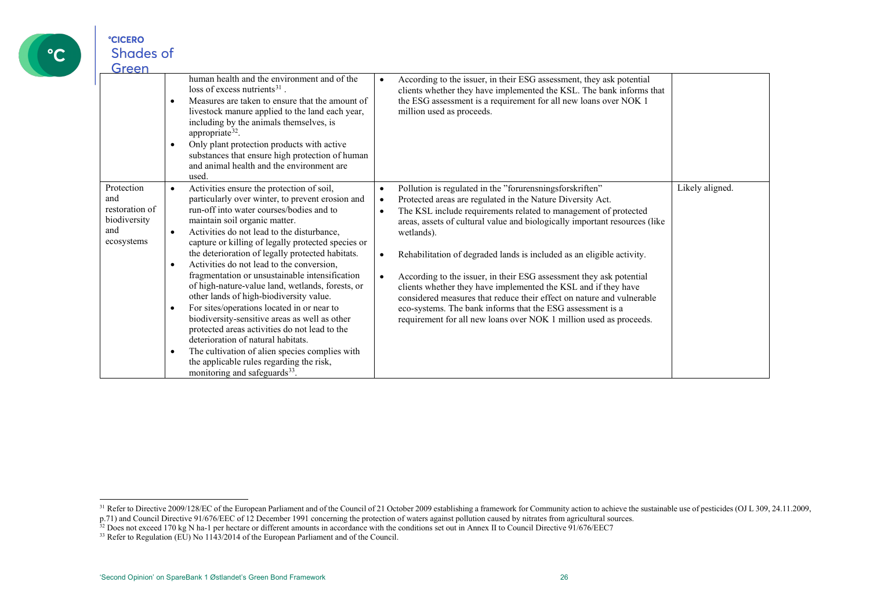

<span id="page-25-2"></span><span id="page-25-1"></span><span id="page-25-0"></span>

| oreen                                                                    |                                                                                                                                                                                                                                                                                                                                                                                                                                                                                                                                                                                                                                                                                                                                                                                                                                                                                                                                    |                                                                                                                                                                                                                                                                                                                                                                                                                                                                                                                                                                                                                                                                                                                                                                                       |                 |
|--------------------------------------------------------------------------|------------------------------------------------------------------------------------------------------------------------------------------------------------------------------------------------------------------------------------------------------------------------------------------------------------------------------------------------------------------------------------------------------------------------------------------------------------------------------------------------------------------------------------------------------------------------------------------------------------------------------------------------------------------------------------------------------------------------------------------------------------------------------------------------------------------------------------------------------------------------------------------------------------------------------------|---------------------------------------------------------------------------------------------------------------------------------------------------------------------------------------------------------------------------------------------------------------------------------------------------------------------------------------------------------------------------------------------------------------------------------------------------------------------------------------------------------------------------------------------------------------------------------------------------------------------------------------------------------------------------------------------------------------------------------------------------------------------------------------|-----------------|
|                                                                          | human health and the environment and of the<br>$loss$ of excess nutrients <sup>31</sup> .<br>Measures are taken to ensure that the amount of<br>$\bullet$<br>livestock manure applied to the land each year,<br>including by the animals themselves, is<br>appropriate <sup>32</sup> .<br>Only plant protection products with active<br>$\bullet$<br>substances that ensure high protection of human<br>and animal health and the environment are<br>used.                                                                                                                                                                                                                                                                                                                                                                                                                                                                         | According to the issuer, in their ESG assessment, they ask potential<br>$\bullet$<br>clients whether they have implemented the KSL. The bank informs that<br>the ESG assessment is a requirement for all new loans over NOK 1<br>million used as proceeds.                                                                                                                                                                                                                                                                                                                                                                                                                                                                                                                            |                 |
| Protection<br>and<br>restoration of<br>biodiversity<br>and<br>ecosystems | Activities ensure the protection of soil,<br>$\bullet$<br>particularly over winter, to prevent erosion and<br>run-off into water courses/bodies and to<br>maintain soil organic matter.<br>Activities do not lead to the disturbance,<br>$\bullet$<br>capture or killing of legally protected species or<br>the deterioration of legally protected habitats.<br>Activities do not lead to the conversion,<br>$\bullet$<br>fragmentation or unsustainable intensification<br>of high-nature-value land, wetlands, forests, or<br>other lands of high-biodiversity value.<br>For sites/operations located in or near to<br>$\bullet$<br>biodiversity-sensitive areas as well as other<br>protected areas activities do not lead to the<br>deterioration of natural habitats.<br>The cultivation of alien species complies with<br>$\bullet$<br>the applicable rules regarding the risk,<br>monitoring and safeguards <sup>33</sup> . | Pollution is regulated in the "forurensningsforskriften"<br>$\bullet$<br>Protected areas are regulated in the Nature Diversity Act.<br>$\bullet$<br>The KSL include requirements related to management of protected<br>$\bullet$<br>areas, assets of cultural value and biologically important resources (like<br>wetlands).<br>Rehabilitation of degraded lands is included as an eligible activity.<br>$\bullet$<br>According to the issuer, in their ESG assessment they ask potential<br>$\bullet$<br>clients whether they have implemented the KSL and if they have<br>considered measures that reduce their effect on nature and vulnerable<br>eco-systems. The bank informs that the ESG assessment is a<br>requirement for all new loans over NOK 1 million used as proceeds. | Likely aligned. |

<sup>&</sup>lt;sup>31</sup> Refer to Directive 2009/128/EC of the European Parliament and of the Council of 21 October 2009 establishing a framework for Community action to achieve the sustainable use of pesticides (OJ L 309, 24.11.2009, p.71) and Council Directive 91/676/EEC of 12 December 1991 concerning the protection of waters against pollution caused by nitrates from agricultural sources.

 $32$  Does not exceed 170 kg N ha-1 per hectare or different amounts in accordance with the conditions set out in Annex II to Council Directive 91/676/EEC7

<sup>&</sup>lt;sup>33</sup> Refer to Regulation (EU) No 1143/2014 of the European Parliament and of the Council.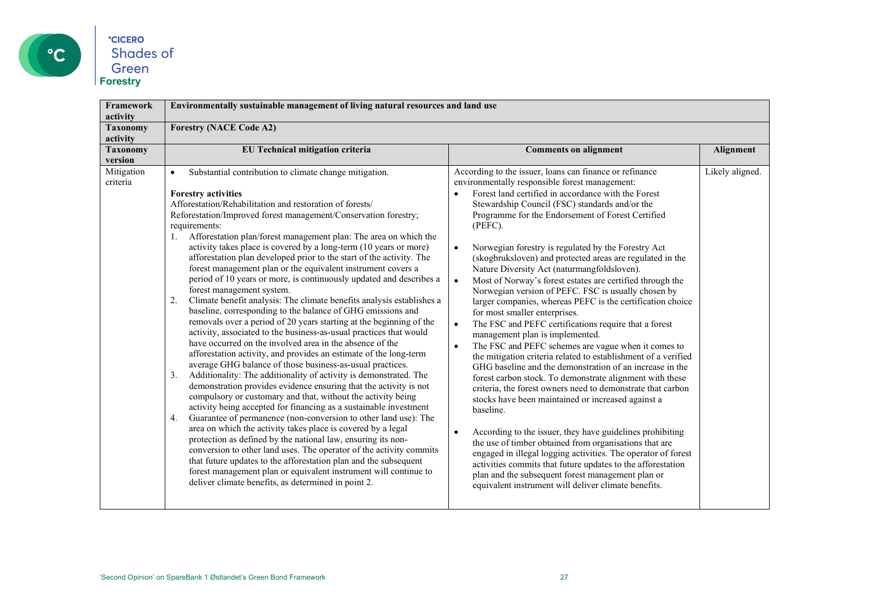

| <b>Framework</b><br>activity | Environmentally sustainable management of living natural resources and land use                                                                                                                                                                                                                                                                                                                                                                                                                                                                                                                                                                                                                                                                                                                                                                                                                                                                                                                                                                                                                                                                                                                                                                                                                                                                                                                                                                                                                                                                                                                                                                                                                                                                                                                                                                                                                        |                                                                                                                                                                                                                                                                                                                                                                                                                                                                                                                                                                                                                                                                                                                                                                                                                                                                                                                                                                                                                                                                                                                                                                                                                                                                                                                                                                                                                                                                                                                                                       |                  |
|------------------------------|--------------------------------------------------------------------------------------------------------------------------------------------------------------------------------------------------------------------------------------------------------------------------------------------------------------------------------------------------------------------------------------------------------------------------------------------------------------------------------------------------------------------------------------------------------------------------------------------------------------------------------------------------------------------------------------------------------------------------------------------------------------------------------------------------------------------------------------------------------------------------------------------------------------------------------------------------------------------------------------------------------------------------------------------------------------------------------------------------------------------------------------------------------------------------------------------------------------------------------------------------------------------------------------------------------------------------------------------------------------------------------------------------------------------------------------------------------------------------------------------------------------------------------------------------------------------------------------------------------------------------------------------------------------------------------------------------------------------------------------------------------------------------------------------------------------------------------------------------------------------------------------------------------|-------------------------------------------------------------------------------------------------------------------------------------------------------------------------------------------------------------------------------------------------------------------------------------------------------------------------------------------------------------------------------------------------------------------------------------------------------------------------------------------------------------------------------------------------------------------------------------------------------------------------------------------------------------------------------------------------------------------------------------------------------------------------------------------------------------------------------------------------------------------------------------------------------------------------------------------------------------------------------------------------------------------------------------------------------------------------------------------------------------------------------------------------------------------------------------------------------------------------------------------------------------------------------------------------------------------------------------------------------------------------------------------------------------------------------------------------------------------------------------------------------------------------------------------------------|------------------|
| <b>Taxonomy</b><br>activity  | <b>Forestry (NACE Code A2)</b>                                                                                                                                                                                                                                                                                                                                                                                                                                                                                                                                                                                                                                                                                                                                                                                                                                                                                                                                                                                                                                                                                                                                                                                                                                                                                                                                                                                                                                                                                                                                                                                                                                                                                                                                                                                                                                                                         |                                                                                                                                                                                                                                                                                                                                                                                                                                                                                                                                                                                                                                                                                                                                                                                                                                                                                                                                                                                                                                                                                                                                                                                                                                                                                                                                                                                                                                                                                                                                                       |                  |
| <b>Taxonomy</b><br>version   | EU Technical mitigation criteria                                                                                                                                                                                                                                                                                                                                                                                                                                                                                                                                                                                                                                                                                                                                                                                                                                                                                                                                                                                                                                                                                                                                                                                                                                                                                                                                                                                                                                                                                                                                                                                                                                                                                                                                                                                                                                                                       | <b>Comments on alignment</b>                                                                                                                                                                                                                                                                                                                                                                                                                                                                                                                                                                                                                                                                                                                                                                                                                                                                                                                                                                                                                                                                                                                                                                                                                                                                                                                                                                                                                                                                                                                          | <b>Alignment</b> |
| Mitigation<br>criteria       | Substantial contribution to climate change mitigation.<br>$\bullet$<br><b>Forestry activities</b><br>Afforestation/Rehabilitation and restoration of forests/<br>Reforestation/Improved forest management/Conservation forestry;<br>requirements:<br>1. Afforestation plan/forest management plan: The area on which the<br>activity takes place is covered by a long-term (10 years or more)<br>afforestation plan developed prior to the start of the activity. The<br>forest management plan or the equivalent instrument covers a<br>period of 10 years or more, is continuously updated and describes a<br>forest management system.<br>Climate benefit analysis: The climate benefits analysis establishes a<br>2.<br>baseline, corresponding to the balance of GHG emissions and<br>removals over a period of 20 years starting at the beginning of the<br>activity, associated to the business-as-usual practices that would<br>have occurred on the involved area in the absence of the<br>afforestation activity, and provides an estimate of the long-term<br>average GHG balance of those business-as-usual practices.<br>Additionality: The additionality of activity is demonstrated. The<br>3.<br>demonstration provides evidence ensuring that the activity is not<br>compulsory or customary and that, without the activity being<br>activity being accepted for financing as a sustainable investment<br>Guarantee of permanence (non-conversion to other land use): The<br>4.<br>area on which the activity takes place is covered by a legal<br>protection as defined by the national law, ensuring its non-<br>conversion to other land uses. The operator of the activity commits<br>that future updates to the afforestation plan and the subsequent<br>forest management plan or equivalent instrument will continue to<br>deliver climate benefits, as determined in point 2. | According to the issuer, loans can finance or refinance<br>environmentally responsible forest management:<br>Forest land certified in accordance with the Forest<br>Stewardship Council (FSC) standards and/or the<br>Programme for the Endorsement of Forest Certified<br>(PEFC).<br>Norwegian forestry is regulated by the Forestry Act<br>(skogbruksloven) and protected areas are regulated in the<br>Nature Diversity Act (naturmangfoldsloven).<br>Most of Norway's forest estates are certified through the<br>Norwegian version of PEFC. FSC is usually chosen by<br>larger companies, whereas PEFC is the certification choice<br>for most smaller enterprises.<br>The FSC and PEFC certifications require that a forest<br>$\bullet$<br>management plan is implemented.<br>The FSC and PEFC schemes are vague when it comes to<br>$\bullet$<br>the mitigation criteria related to establishment of a verified<br>GHG baseline and the demonstration of an increase in the<br>forest carbon stock. To demonstrate alignment with these<br>criteria, the forest owners need to demonstrate that carbon<br>stocks have been maintained or increased against a<br>baseline.<br>According to the issuer, they have guidelines prohibiting<br>the use of timber obtained from organisations that are<br>engaged in illegal logging activities. The operator of forest<br>activities commits that future updates to the afforestation<br>plan and the subsequent forest management plan or<br>equivalent instrument will deliver climate benefits. | Likely aligned.  |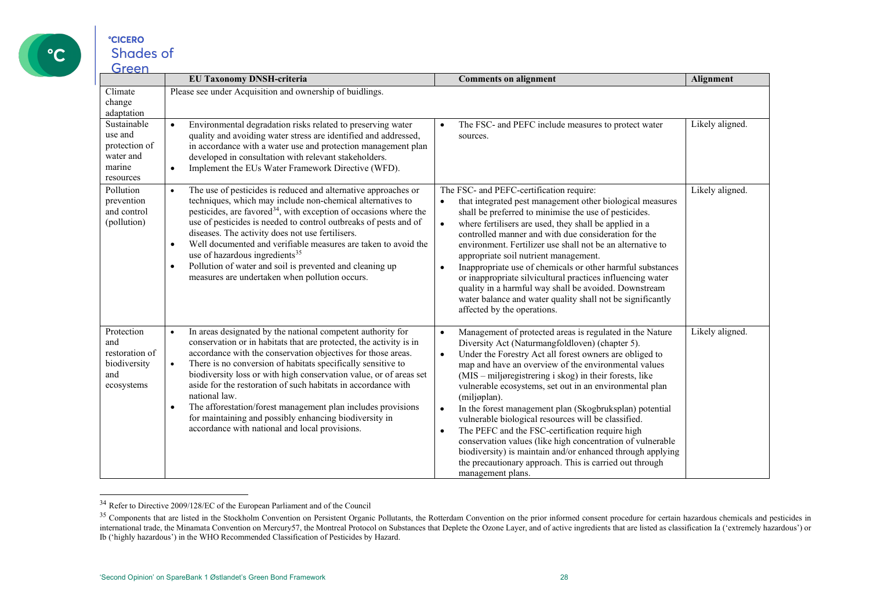

<span id="page-27-1"></span><span id="page-27-0"></span>

| 11 CCI                                                                      | <b>EU Taxonomy DNSH-criteria</b>                                                                                                                                                                                                                                                                                                                                                                                                                                                                                                                                                                                                             | <b>Comments on alignment</b>                                                                                                                                                                                                                                                                                                                                                                                                                                                                                                                                                                                                                                                                                                                                                                              | Alignment       |
|-----------------------------------------------------------------------------|----------------------------------------------------------------------------------------------------------------------------------------------------------------------------------------------------------------------------------------------------------------------------------------------------------------------------------------------------------------------------------------------------------------------------------------------------------------------------------------------------------------------------------------------------------------------------------------------------------------------------------------------|-----------------------------------------------------------------------------------------------------------------------------------------------------------------------------------------------------------------------------------------------------------------------------------------------------------------------------------------------------------------------------------------------------------------------------------------------------------------------------------------------------------------------------------------------------------------------------------------------------------------------------------------------------------------------------------------------------------------------------------------------------------------------------------------------------------|-----------------|
| Climate<br>change<br>adaptation                                             | Please see under Acquisition and ownership of buidlings.                                                                                                                                                                                                                                                                                                                                                                                                                                                                                                                                                                                     |                                                                                                                                                                                                                                                                                                                                                                                                                                                                                                                                                                                                                                                                                                                                                                                                           |                 |
| Sustainable<br>use and<br>protection of<br>water and<br>marine<br>resources | Environmental degradation risks related to preserving water<br>$\bullet$<br>quality and avoiding water stress are identified and addressed,<br>in accordance with a water use and protection management plan<br>developed in consultation with relevant stakeholders.<br>Implement the EUs Water Framework Directive (WFD).<br>$\bullet$                                                                                                                                                                                                                                                                                                     | The FSC- and PEFC include measures to protect water<br>$\bullet$<br>sources.                                                                                                                                                                                                                                                                                                                                                                                                                                                                                                                                                                                                                                                                                                                              | Likely aligned. |
| Pollution<br>prevention<br>and control<br>(pollution)                       | The use of pesticides is reduced and alternative approaches or<br>$\bullet$<br>techniques, which may include non-chemical alternatives to<br>pesticides, are favored <sup>34</sup> , with exception of occasions where the<br>use of pesticides is needed to control outbreaks of pests and of<br>diseases. The activity does not use fertilisers.<br>Well documented and verifiable measures are taken to avoid the<br>$\bullet$<br>use of hazardous ingredients <sup>35</sup><br>Pollution of water and soil is prevented and cleaning up<br>$\bullet$<br>measures are undertaken when pollution occurs.                                   | The FSC- and PEFC-certification require:<br>that integrated pest management other biological measures<br>$\bullet$<br>shall be preferred to minimise the use of pesticides.<br>where fertilisers are used, they shall be applied in a<br>$\bullet$<br>controlled manner and with due consideration for the<br>environment. Fertilizer use shall not be an alternative to<br>appropriate soil nutrient management.<br>Inappropriate use of chemicals or other harmful substances<br>$\bullet$<br>or inappropriate silvicultural practices influencing water<br>quality in a harmful way shall be avoided. Downstream<br>water balance and water quality shall not be significantly<br>affected by the operations.                                                                                          | Likely aligned. |
| Protection<br>and<br>restoration of<br>biodiversity<br>and<br>ecosystems    | In areas designated by the national competent authority for<br>$\bullet$<br>conservation or in habitats that are protected, the activity is in<br>accordance with the conservation objectives for those areas.<br>There is no conversion of habitats specifically sensitive to<br>$\bullet$<br>biodiversity loss or with high conservation value, or of areas set<br>aside for the restoration of such habitats in accordance with<br>national law.<br>The afforestation/forest management plan includes provisions<br>$\bullet$<br>for maintaining and possibly enhancing biodiversity in<br>accordance with national and local provisions. | Management of protected areas is regulated in the Nature<br>$\bullet$<br>Diversity Act (Naturmangfoldloven) (chapter 5).<br>Under the Forestry Act all forest owners are obliged to<br>$\bullet$<br>map and have an overview of the environmental values<br>(MIS – miljøregistrering i skog) in their forests, like<br>vulnerable ecosystems, set out in an environmental plan<br>(miljøplan).<br>In the forest management plan (Skogbruksplan) potential<br>$\bullet$<br>vulnerable biological resources will be classified.<br>The PEFC and the FSC-certification require high<br>$\bullet$<br>conservation values (like high concentration of vulnerable<br>biodiversity) is maintain and/or enhanced through applying<br>the precautionary approach. This is carried out through<br>management plans. | Likely aligned. |

<sup>34</sup> Refer to Directive 2009/128/EC of the European Parliament and of the Council

<sup>&</sup>lt;sup>35</sup> Components that are listed in the Stockholm Convention on Persistent Organic Pollutants, the Rotterdam Convention on the prior informed consent procedure for certain hazardous chemicals and pesticides in international trade, the Minamata Convention on Mercury57, the Montreal Protocol on Substances that Deplete the Ozone Layer, and of active ingredients that are listed as classification Ia ('extremely hazardous') or Ib ('highly hazardous') in the WHO Recommended Classification of Pesticides by Hazard.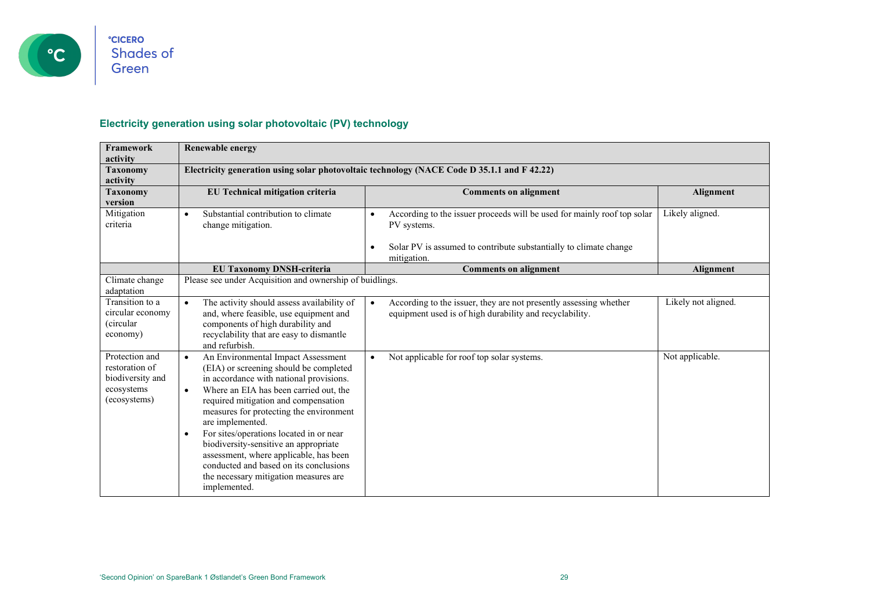

### **Electricity generation using solar photovoltaic (PV) technology**

| <b>Framework</b><br>activity                                                       | <b>Renewable energy</b>                                                                                                                                                                                                                                                                                                                                                                                                                                                                                                                          |                                                                                                                                                                                                      |                     |
|------------------------------------------------------------------------------------|--------------------------------------------------------------------------------------------------------------------------------------------------------------------------------------------------------------------------------------------------------------------------------------------------------------------------------------------------------------------------------------------------------------------------------------------------------------------------------------------------------------------------------------------------|------------------------------------------------------------------------------------------------------------------------------------------------------------------------------------------------------|---------------------|
| <b>Taxonomy</b><br>activity                                                        |                                                                                                                                                                                                                                                                                                                                                                                                                                                                                                                                                  | Electricity generation using solar photovoltaic technology (NACE Code D 35.1.1 and F 42.22)                                                                                                          |                     |
| <b>Taxonomy</b><br>version                                                         | EU Technical mitigation criteria                                                                                                                                                                                                                                                                                                                                                                                                                                                                                                                 | <b>Comments on alignment</b>                                                                                                                                                                         | Alignment           |
| Mitigation<br>criteria                                                             | Substantial contribution to climate<br>$\bullet$<br>change mitigation.                                                                                                                                                                                                                                                                                                                                                                                                                                                                           | According to the issuer proceeds will be used for mainly roof top solar<br>$\bullet$<br>PV systems.<br>Solar PV is assumed to contribute substantially to climate change<br>$\bullet$<br>mitigation. | Likely aligned.     |
|                                                                                    | <b>EU Taxonomy DNSH-criteria</b>                                                                                                                                                                                                                                                                                                                                                                                                                                                                                                                 | <b>Comments on alignment</b>                                                                                                                                                                         | Alignment           |
| Climate change<br>adaptation                                                       | Please see under Acquisition and ownership of buidlings.                                                                                                                                                                                                                                                                                                                                                                                                                                                                                         |                                                                                                                                                                                                      |                     |
| Transition to a<br>circular economy<br><i>(circular)</i><br>economy)               | The activity should assess availability of<br>$\bullet$<br>and, where feasible, use equipment and<br>components of high durability and<br>recyclability that are easy to dismantle<br>and refurbish.                                                                                                                                                                                                                                                                                                                                             | According to the issuer, they are not presently assessing whether<br>$\bullet$<br>equipment used is of high durability and recyclability.                                                            | Likely not aligned. |
| Protection and<br>restoration of<br>biodiversity and<br>ecosystems<br>(ecosystems) | An Environmental Impact Assessment<br>$\bullet$<br>(EIA) or screening should be completed<br>in accordance with national provisions.<br>Where an EIA has been carried out, the<br>$\bullet$<br>required mitigation and compensation<br>measures for protecting the environment<br>are implemented.<br>For sites/operations located in or near<br>$\bullet$<br>biodiversity-sensitive an appropriate<br>assessment, where applicable, has been<br>conducted and based on its conclusions<br>the necessary mitigation measures are<br>implemented. | Not applicable for roof top solar systems.<br>$\bullet$                                                                                                                                              | Not applicable.     |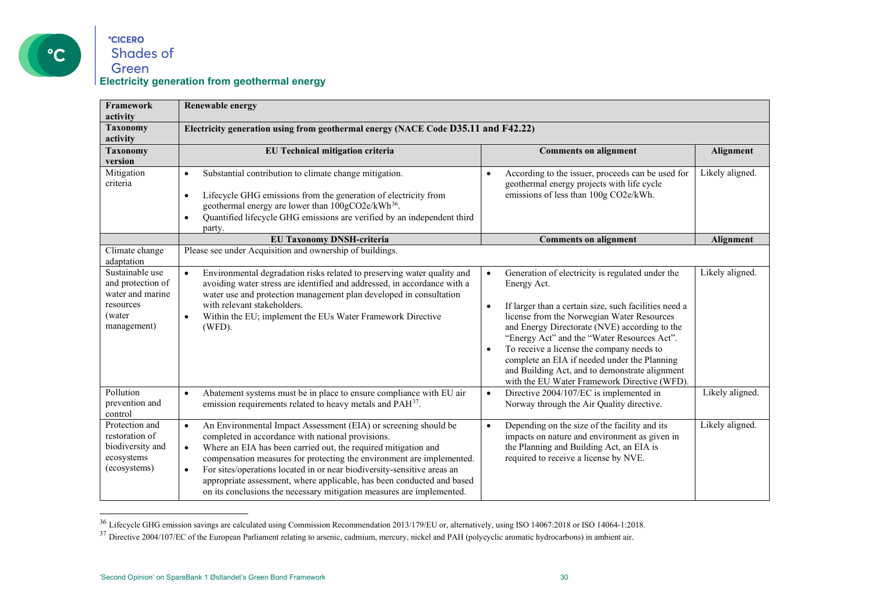

#### <span id="page-29-1"></span><span id="page-29-0"></span>**°CICERO** Shades of Green **Electricity generation from geothermal energy**

| <b>Framework</b><br>activity                                                                   | <b>Renewable energy</b>                                                                                                                                                                                                                                                                                                                                                                                                                                                                                                              |                                                                                                                                                                                                                                                                                                                                                                                                                                                                                                              |                 |
|------------------------------------------------------------------------------------------------|--------------------------------------------------------------------------------------------------------------------------------------------------------------------------------------------------------------------------------------------------------------------------------------------------------------------------------------------------------------------------------------------------------------------------------------------------------------------------------------------------------------------------------------|--------------------------------------------------------------------------------------------------------------------------------------------------------------------------------------------------------------------------------------------------------------------------------------------------------------------------------------------------------------------------------------------------------------------------------------------------------------------------------------------------------------|-----------------|
| <b>Taxonomy</b><br>activity                                                                    | Electricity generation using from geothermal energy (NACE Code D35.11 and F42.22)                                                                                                                                                                                                                                                                                                                                                                                                                                                    |                                                                                                                                                                                                                                                                                                                                                                                                                                                                                                              |                 |
| <b>Taxonomy</b><br>version                                                                     | EU Technical mitigation criteria                                                                                                                                                                                                                                                                                                                                                                                                                                                                                                     | <b>Comments on alignment</b>                                                                                                                                                                                                                                                                                                                                                                                                                                                                                 | Alignment       |
| Mitigation<br>criteria                                                                         | Substantial contribution to climate change mitigation.<br>$\bullet$<br>Lifecycle GHG emissions from the generation of electricity from<br>$\bullet$<br>geothermal energy are lower than 100gCO2e/kWh <sup>36</sup> .<br>Quantified lifecycle GHG emissions are verified by an independent third<br>$\bullet$<br>party.                                                                                                                                                                                                               | According to the issuer, proceeds can be used for<br>$\bullet$<br>geothermal energy projects with life cycle<br>emissions of less than 100g CO2e/kWh.                                                                                                                                                                                                                                                                                                                                                        | Likely aligned. |
|                                                                                                | <b>EU Taxonomy DNSH-criteria</b>                                                                                                                                                                                                                                                                                                                                                                                                                                                                                                     | <b>Comments on alignment</b>                                                                                                                                                                                                                                                                                                                                                                                                                                                                                 | Alignment       |
| Climate change<br>adaptation                                                                   | Please see under Acquisition and ownership of buildings.                                                                                                                                                                                                                                                                                                                                                                                                                                                                             |                                                                                                                                                                                                                                                                                                                                                                                                                                                                                                              |                 |
| Sustainable use<br>and protection of<br>water and marine<br>resources<br>(water<br>management) | Environmental degradation risks related to preserving water quality and<br>avoiding water stress are identified and addressed, in accordance with a<br>water use and protection management plan developed in consultation<br>with relevant stakeholders.<br>Within the EU; implement the EUs Water Framework Directive<br>$\bullet$<br>(WFD).                                                                                                                                                                                        | Generation of electricity is regulated under the<br>$\bullet$<br>Energy Act.<br>If larger than a certain size, such facilities need a<br>$\bullet$<br>license from the Norwegian Water Resources<br>and Energy Directorate (NVE) according to the<br>"Energy Act" and the "Water Resources Act".<br>To receive a license the company needs to<br>$\bullet$<br>complete an EIA if needed under the Planning<br>and Building Act, and to demonstrate alignment<br>with the EU Water Framework Directive (WFD). | Likely aligned. |
| Pollution<br>prevention and<br>control                                                         | Abatement systems must be in place to ensure compliance with EU air<br>$\bullet$<br>emission requirements related to heavy metals and PAH <sup>37</sup> .                                                                                                                                                                                                                                                                                                                                                                            | Directive 2004/107/EC is implemented in<br>$\bullet$<br>Norway through the Air Quality directive.                                                                                                                                                                                                                                                                                                                                                                                                            | Likely aligned. |
| Protection and<br>restoration of<br>biodiversity and<br>ecosystems<br>(ecosystems)             | An Environmental Impact Assessment (EIA) or screening should be<br>$\bullet$<br>completed in accordance with national provisions.<br>Where an EIA has been carried out, the required mitigation and<br>$\bullet$<br>compensation measures for protecting the environment are implemented.<br>For sites/operations located in or near biodiversity-sensitive areas an<br>$\bullet$<br>appropriate assessment, where applicable, has been conducted and based<br>on its conclusions the necessary mitigation measures are implemented. | Depending on the size of the facility and its<br>$\bullet$<br>impacts on nature and environment as given in<br>the Planning and Building Act, an EIA is<br>required to receive a license by NVE.                                                                                                                                                                                                                                                                                                             | Likely aligned. |

<sup>&</sup>lt;sup>36</sup> Lifecycle GHG emission savings are calculated using Commission Recommendation 2013/179/EU or, alternatively, using ISO 14067:2018 or ISO 14064-1:2018.<br><sup>37</sup> Directive 2004/107/EC of the European Parliament relating to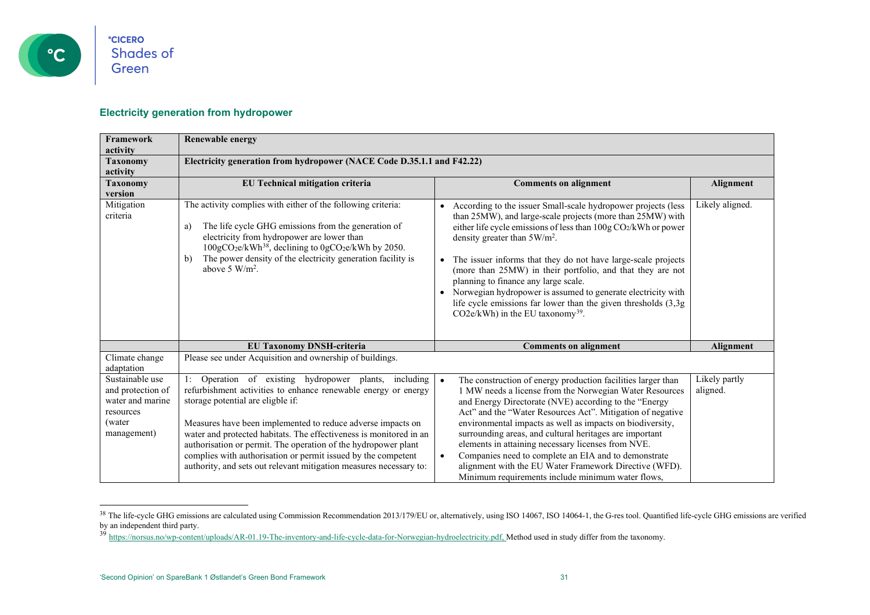

#### <span id="page-30-1"></span><span id="page-30-0"></span>**Electricity generation from hydropower**

| Framework<br>activity                                                                           | <b>Renewable energy</b>                                                                                                                                                                                                                                                                                                                                                                                                                                                                                    |                                                                                                                                                                                                                                                                                                                                                                                                                                                                                                                                                                                                                               |                           |
|-------------------------------------------------------------------------------------------------|------------------------------------------------------------------------------------------------------------------------------------------------------------------------------------------------------------------------------------------------------------------------------------------------------------------------------------------------------------------------------------------------------------------------------------------------------------------------------------------------------------|-------------------------------------------------------------------------------------------------------------------------------------------------------------------------------------------------------------------------------------------------------------------------------------------------------------------------------------------------------------------------------------------------------------------------------------------------------------------------------------------------------------------------------------------------------------------------------------------------------------------------------|---------------------------|
| <b>Taxonomy</b><br>activity                                                                     | Electricity generation from hydropower (NACE Code D.35.1.1 and F42.22)                                                                                                                                                                                                                                                                                                                                                                                                                                     |                                                                                                                                                                                                                                                                                                                                                                                                                                                                                                                                                                                                                               |                           |
| <b>Taxonomy</b><br>version                                                                      | EU Technical mitigation criteria                                                                                                                                                                                                                                                                                                                                                                                                                                                                           | <b>Comments on alignment</b>                                                                                                                                                                                                                                                                                                                                                                                                                                                                                                                                                                                                  | Alignment                 |
| Mitigation<br>criteria                                                                          | The activity complies with either of the following criteria:<br>The life cycle GHG emissions from the generation of<br>a)<br>electricity from hydropower are lower than<br>100gCO <sub>2</sub> e/kWh <sup>38</sup> , declining to 0gCO <sub>2</sub> e/kWh by 2050.<br>The power density of the electricity generation facility is<br>$\mathbf{b}$<br>above 5 $W/m2$ .                                                                                                                                      | • According to the issuer Small-scale hydropower projects (less<br>than 25MW), and large-scale projects (more than 25MW) with<br>either life cycle emissions of less than 100g CO2/kWh or power<br>density greater than 5W/m <sup>2</sup> .<br>• The issuer informs that they do not have large-scale projects<br>(more than 25MW) in their portfolio, and that they are not<br>planning to finance any large scale.<br>• Norwegian hydropower is assumed to generate electricity with<br>life cycle emissions far lower than the given thresholds $(3,3g)$<br>CO2e/kWh) in the EU taxonomy <sup>39</sup> .                   | Likely aligned.           |
|                                                                                                 | <b>EU Taxonomy DNSH-criteria</b>                                                                                                                                                                                                                                                                                                                                                                                                                                                                           | <b>Comments on alignment</b>                                                                                                                                                                                                                                                                                                                                                                                                                                                                                                                                                                                                  | Alignment                 |
| Climate change<br>adaptation                                                                    | Please see under Acquisition and ownership of buildings.                                                                                                                                                                                                                                                                                                                                                                                                                                                   |                                                                                                                                                                                                                                                                                                                                                                                                                                                                                                                                                                                                                               |                           |
| Sustainable use<br>and protection of<br>water and marine<br>resources<br>(water)<br>management) | Operation of existing hydropower plants,<br>including<br>refurbishment activities to enhance renewable energy or energy<br>storage potential are eligble if:<br>Measures have been implemented to reduce adverse impacts on<br>water and protected habitats. The effectiveness is monitored in an<br>authorisation or permit. The operation of the hydropower plant<br>complies with authorisation or permit issued by the competent<br>authority, and sets out relevant mitigation measures necessary to: | The construction of energy production facilities larger than<br>$\bullet$<br>1 MW needs a license from the Norwegian Water Resources<br>and Energy Directorate (NVE) according to the "Energy<br>Act" and the "Water Resources Act". Mitigation of negative<br>environmental impacts as well as impacts on biodiversity,<br>surrounding areas, and cultural heritages are important<br>elements in attaining necessary licenses from NVE.<br>Companies need to complete an EIA and to demonstrate<br>$\bullet$<br>alignment with the EU Water Framework Directive (WFD).<br>Minimum requirements include minimum water flows, | Likely partly<br>aligned. |

<sup>&</sup>lt;sup>38</sup> The life-cycle GHG emissions are calculated using Commission Recommendation 2013/179/EU or, alternatively, using ISO 14067, ISO 14064-1, the G-res tool. Quantified life-cycle GHG emissions are verified by an independent third party.

<sup>&</sup>lt;sup>39</sup> [https://norsus.no/wp-content/uploads/AR-01.19-The-inventory-and-life-cycle-data-for-Norwegian-hydroelectricity.pdf,](https://norsus.no/wp-content/uploads/AR-01.19-The-inventory-and-life-cycle-data-for-Norwegian-hydroelectricity.pdf) Method used in study differ from the taxonomy.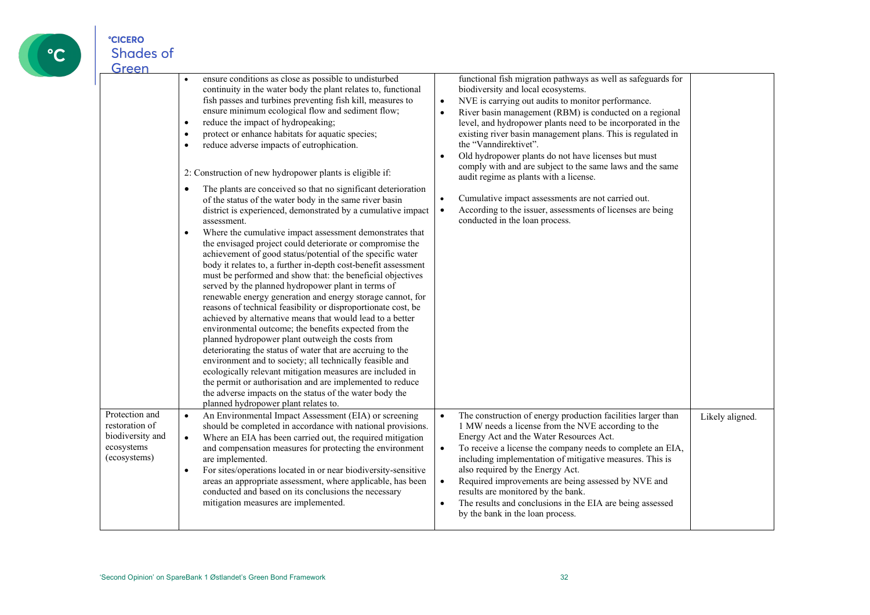

| Green                                                                              |                                                                                                                                                                                                                                                                                                                                                                                                                                                                                                                                                                                                                                                                                                                                                                                                                                                                                                                                                                                                                                                                                                                                                                                                                                                                                                                                                                                                                                                                                                                                                                                                                                                                                                                                                                       |                                                                                                                                                                                                                                                                                                                                                                                                                                                                                                                                                                                                                                                                                                                                                                 |                 |
|------------------------------------------------------------------------------------|-----------------------------------------------------------------------------------------------------------------------------------------------------------------------------------------------------------------------------------------------------------------------------------------------------------------------------------------------------------------------------------------------------------------------------------------------------------------------------------------------------------------------------------------------------------------------------------------------------------------------------------------------------------------------------------------------------------------------------------------------------------------------------------------------------------------------------------------------------------------------------------------------------------------------------------------------------------------------------------------------------------------------------------------------------------------------------------------------------------------------------------------------------------------------------------------------------------------------------------------------------------------------------------------------------------------------------------------------------------------------------------------------------------------------------------------------------------------------------------------------------------------------------------------------------------------------------------------------------------------------------------------------------------------------------------------------------------------------------------------------------------------------|-----------------------------------------------------------------------------------------------------------------------------------------------------------------------------------------------------------------------------------------------------------------------------------------------------------------------------------------------------------------------------------------------------------------------------------------------------------------------------------------------------------------------------------------------------------------------------------------------------------------------------------------------------------------------------------------------------------------------------------------------------------------|-----------------|
|                                                                                    | ensure conditions as close as possible to undisturbed<br>continuity in the water body the plant relates to, functional<br>fish passes and turbines preventing fish kill, measures to<br>ensure minimum ecological flow and sediment flow;<br>reduce the impact of hydropeaking;<br>$\bullet$<br>protect or enhance habitats for aquatic species;<br>$\bullet$<br>reduce adverse impacts of eutrophication.<br>$\bullet$<br>2: Construction of new hydropower plants is eligible if:<br>The plants are conceived so that no significant deterioration<br>$\bullet$<br>of the status of the water body in the same river basin<br>district is experienced, demonstrated by a cumulative impact<br>assessment.<br>Where the cumulative impact assessment demonstrates that<br>$\bullet$<br>the envisaged project could deteriorate or compromise the<br>achievement of good status/potential of the specific water<br>body it relates to, a further in-depth cost-benefit assessment<br>must be performed and show that: the beneficial objectives<br>served by the planned hydropower plant in terms of<br>renewable energy generation and energy storage cannot, for<br>reasons of technical feasibility or disproportionate cost, be<br>achieved by alternative means that would lead to a better<br>environmental outcome; the benefits expected from the<br>planned hydropower plant outweigh the costs from<br>deteriorating the status of water that are accruing to the<br>environment and to society; all technically feasible and<br>ecologically relevant mitigation measures are included in<br>the permit or authorisation and are implemented to reduce<br>the adverse impacts on the status of the water body the<br>planned hydropower plant relates to. | functional fish migration pathways as well as safeguards for<br>biodiversity and local ecosystems.<br>NVE is carrying out audits to monitor performance.<br>$\bullet$<br>River basin management (RBM) is conducted on a regional<br>$\bullet$<br>level, and hydropower plants need to be incorporated in the<br>existing river basin management plans. This is regulated in<br>the "Vanndirektivet".<br>Old hydropower plants do not have licenses but must<br>$\bullet$<br>comply with and are subject to the same laws and the same<br>audit regime as plants with a license.<br>Cumulative impact assessments are not carried out.<br>$\bullet$<br>According to the issuer, assessments of licenses are being<br>$\bullet$<br>conducted in the loan process. |                 |
| Protection and<br>restoration of<br>biodiversity and<br>ecosystems<br>(ecosystems) | An Environmental Impact Assessment (EIA) or screening<br>$\bullet$<br>should be completed in accordance with national provisions.<br>Where an EIA has been carried out, the required mitigation<br>$\bullet$<br>and compensation measures for protecting the environment<br>are implemented.<br>For sites/operations located in or near biodiversity-sensitive<br>$\bullet$<br>areas an appropriate assessment, where applicable, has been<br>conducted and based on its conclusions the necessary<br>mitigation measures are implemented.                                                                                                                                                                                                                                                                                                                                                                                                                                                                                                                                                                                                                                                                                                                                                                                                                                                                                                                                                                                                                                                                                                                                                                                                                            | The construction of energy production facilities larger than<br>$\bullet$<br>1 MW needs a license from the NVE according to the<br>Energy Act and the Water Resources Act.<br>To receive a license the company needs to complete an EIA,<br>$\bullet$<br>including implementation of mitigative measures. This is<br>also required by the Energy Act.<br>Required improvements are being assessed by NVE and<br>$\bullet$<br>results are monitored by the bank.<br>The results and conclusions in the EIA are being assessed<br>$\bullet$<br>by the bank in the loan process.                                                                                                                                                                                   | Likely aligned. |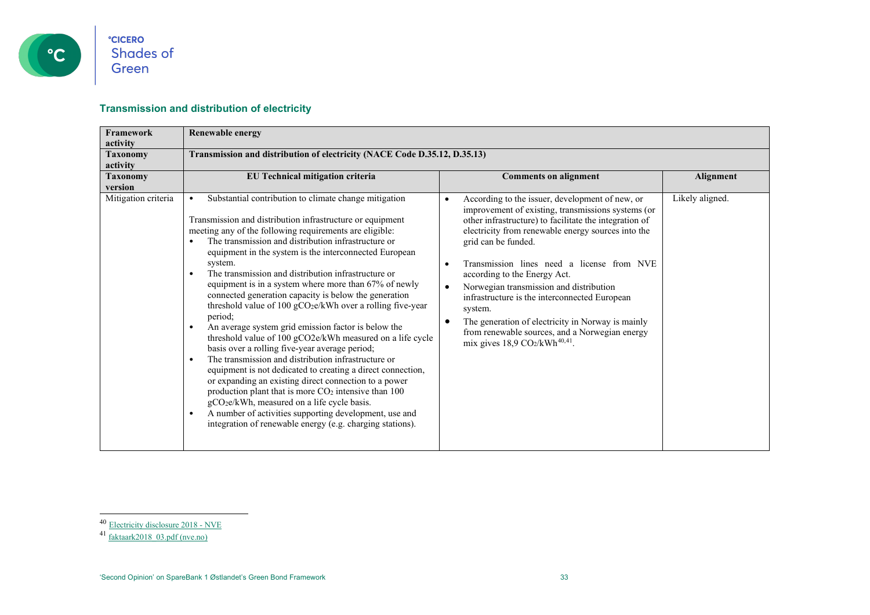

#### <span id="page-32-1"></span><span id="page-32-0"></span>**Transmission and distribution of electricity**

| Framework           | <b>Renewable energy</b>                                                                                                                                                                                                                                                                                                                                                                                                                                                                                                                                                                                                                                                                                                                                                                                                                                                                                                                                                                                                                                                                                                                                                                                                                             |                                                                                                                                                                                                                                                                                                                                                                                                                                                                                                                                                                                                    |                 |
|---------------------|-----------------------------------------------------------------------------------------------------------------------------------------------------------------------------------------------------------------------------------------------------------------------------------------------------------------------------------------------------------------------------------------------------------------------------------------------------------------------------------------------------------------------------------------------------------------------------------------------------------------------------------------------------------------------------------------------------------------------------------------------------------------------------------------------------------------------------------------------------------------------------------------------------------------------------------------------------------------------------------------------------------------------------------------------------------------------------------------------------------------------------------------------------------------------------------------------------------------------------------------------------|----------------------------------------------------------------------------------------------------------------------------------------------------------------------------------------------------------------------------------------------------------------------------------------------------------------------------------------------------------------------------------------------------------------------------------------------------------------------------------------------------------------------------------------------------------------------------------------------------|-----------------|
| activity            |                                                                                                                                                                                                                                                                                                                                                                                                                                                                                                                                                                                                                                                                                                                                                                                                                                                                                                                                                                                                                                                                                                                                                                                                                                                     |                                                                                                                                                                                                                                                                                                                                                                                                                                                                                                                                                                                                    |                 |
| <b>Taxonomy</b>     | Transmission and distribution of electricity (NACE Code D.35.12, D.35.13)                                                                                                                                                                                                                                                                                                                                                                                                                                                                                                                                                                                                                                                                                                                                                                                                                                                                                                                                                                                                                                                                                                                                                                           |                                                                                                                                                                                                                                                                                                                                                                                                                                                                                                                                                                                                    |                 |
| activity            |                                                                                                                                                                                                                                                                                                                                                                                                                                                                                                                                                                                                                                                                                                                                                                                                                                                                                                                                                                                                                                                                                                                                                                                                                                                     |                                                                                                                                                                                                                                                                                                                                                                                                                                                                                                                                                                                                    |                 |
| <b>Taxonomy</b>     | EU Technical mitigation criteria                                                                                                                                                                                                                                                                                                                                                                                                                                                                                                                                                                                                                                                                                                                                                                                                                                                                                                                                                                                                                                                                                                                                                                                                                    | <b>Comments on alignment</b>                                                                                                                                                                                                                                                                                                                                                                                                                                                                                                                                                                       | Alignment       |
| version             |                                                                                                                                                                                                                                                                                                                                                                                                                                                                                                                                                                                                                                                                                                                                                                                                                                                                                                                                                                                                                                                                                                                                                                                                                                                     |                                                                                                                                                                                                                                                                                                                                                                                                                                                                                                                                                                                                    |                 |
| Mitigation criteria | Substantial contribution to climate change mitigation<br>$\bullet$<br>Transmission and distribution infrastructure or equipment<br>meeting any of the following requirements are eligible:<br>The transmission and distribution infrastructure or<br>equipment in the system is the interconnected European<br>system.<br>The transmission and distribution infrastructure or<br>$\bullet$<br>equipment is in a system where more than 67% of newly<br>connected generation capacity is below the generation<br>threshold value of 100 gCO <sub>2</sub> e/kWh over a rolling five-year<br>period;<br>An average system grid emission factor is below the<br>$\bullet$<br>threshold value of 100 gCO2e/kWh measured on a life cycle<br>basis over a rolling five-year average period;<br>The transmission and distribution infrastructure or<br>$\bullet$<br>equipment is not dedicated to creating a direct connection,<br>or expanding an existing direct connection to a power<br>production plant that is more CO <sub>2</sub> intensive than 100<br>gCO <sub>2</sub> e/kWh, measured on a life cycle basis.<br>A number of activities supporting development, use and<br>$\bullet$<br>integration of renewable energy (e.g. charging stations). | According to the issuer, development of new, or<br>improvement of existing, transmissions systems (or<br>other infrastructure) to facilitate the integration of<br>electricity from renewable energy sources into the<br>grid can be funded.<br>Transmission lines need a license from NVE<br>according to the Energy Act.<br>Norwegian transmission and distribution<br>infrastructure is the interconnected European<br>system.<br>The generation of electricity in Norway is mainly<br>$\bullet$<br>from renewable sources, and a Norwegian energy<br>mix gives 18,9 CO2/kWh <sup>40,41</sup> . | Likely aligned. |

<sup>&</sup>lt;sup>40</sup> [Electricity disclosure 2018 -](https://www.nve.no/norwegian-energy-regulatory-authority/retail-market/electricity-disclosure-2018/) NVE

<sup>&</sup>lt;sup>41</sup> [faktaark2018\\_03.pdf \(nve.no\)](https://publikasjoner.nve.no/faktaark/2018/faktaark2018_03.pdf)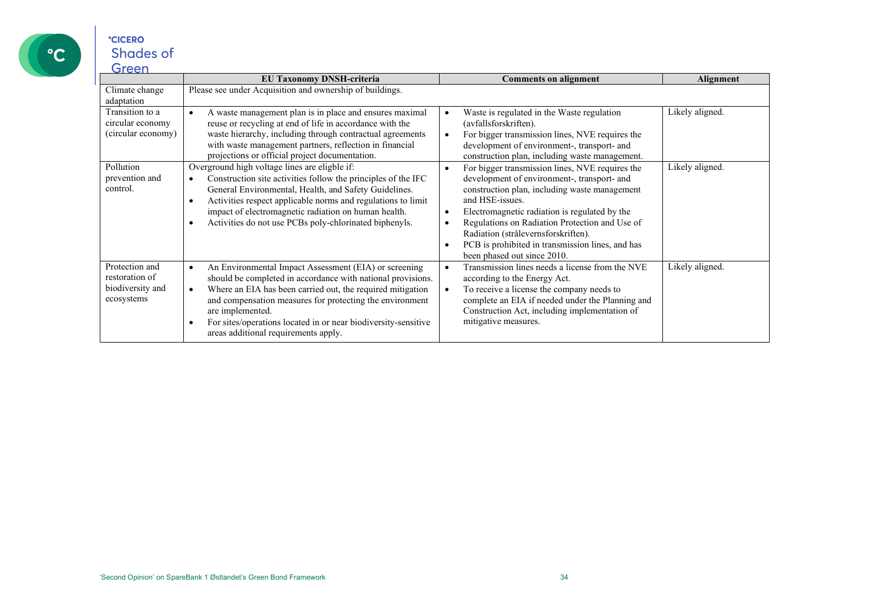

Protection and restoration of biodiversity and ecosystems

| Green                                                     |                                                                                                                                                                                                                                                                                                                                                                |                                                                                                                                                                                                                                                                                                                                                                                                                                        |                 |
|-----------------------------------------------------------|----------------------------------------------------------------------------------------------------------------------------------------------------------------------------------------------------------------------------------------------------------------------------------------------------------------------------------------------------------------|----------------------------------------------------------------------------------------------------------------------------------------------------------------------------------------------------------------------------------------------------------------------------------------------------------------------------------------------------------------------------------------------------------------------------------------|-----------------|
|                                                           | <b>EU Taxonomy DNSH-criteria</b>                                                                                                                                                                                                                                                                                                                               | <b>Comments on alignment</b>                                                                                                                                                                                                                                                                                                                                                                                                           | Alignment       |
| Climate change<br>adaptation                              | Please see under Acquisition and ownership of buildings.                                                                                                                                                                                                                                                                                                       |                                                                                                                                                                                                                                                                                                                                                                                                                                        |                 |
| Transition to a<br>circular economy<br>(circular economy) | A waste management plan is in place and ensures maximal<br>reuse or recycling at end of life in accordance with the<br>waste hierarchy, including through contractual agreements<br>with waste management partners, reflection in financial<br>projections or official project documentation.                                                                  | Waste is regulated in the Waste regulation<br>(avfallsforskriften).<br>For bigger transmission lines, NVE requires the<br>$\bullet$<br>development of environment-, transport- and<br>construction plan, including waste management.                                                                                                                                                                                                   | Likely aligned. |
| Pollution<br>prevention and<br>control.                   | Overground high voltage lines are eligble if:<br>Construction site activities follow the principles of the IFC<br>General Environmental, Health, and Safety Guidelines.<br>Activities respect applicable norms and regulations to limit<br>٠<br>impact of electromagnetic radiation on human health.<br>Activities do not use PCBs poly-chlorinated biphenyls. | For bigger transmission lines, NVE requires the<br>$\bullet$<br>development of environment-, transport- and<br>construction plan, including waste management<br>and HSE-issues.<br>Electromagnetic radiation is regulated by the<br>$\bullet$<br>Regulations on Radiation Protection and Use of<br>Radiation (strålevernsforskriften).<br>PCB is prohibited in transmission lines, and has<br>$\bullet$<br>been phased out since 2010. | Likely aligned. |

• An Environmental Impact Assessment (EIA) or screening should be completed in accordance with national provisions. • Where an EIA has been carried out, the required mitigation and compensation measures for protecting the environment

• For sites/operations located in or near biodiversity-sensitive

areas additional requirements apply.

are implemented.

• Transmission lines needs a license from the NVE

complete an EIA if needed under the Planning and Construction Act, including implementation of

according to the Energy Act. • To receive a license the company needs to

mitigative measures.

Likely aligned.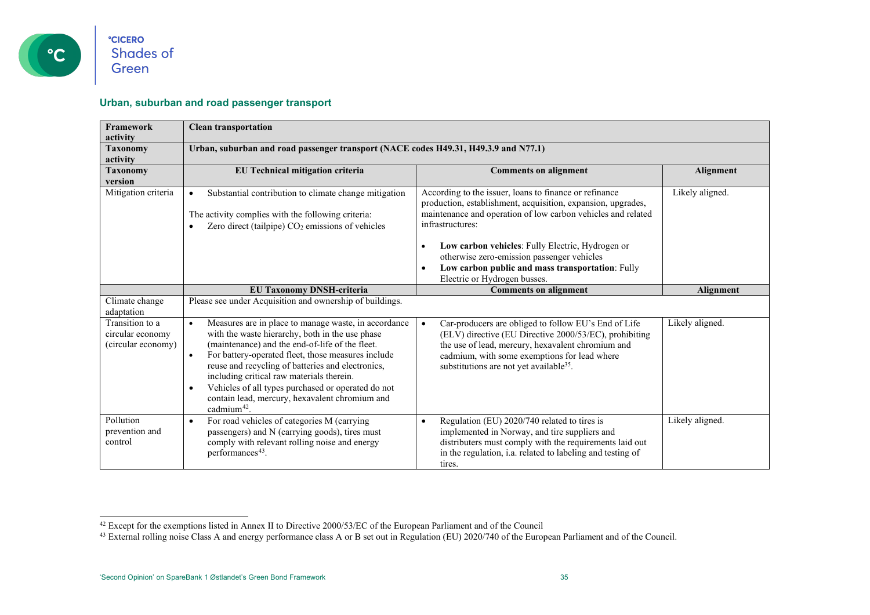

#### <span id="page-34-1"></span><span id="page-34-0"></span>**Urban, suburban and road passenger transport**

| Framework<br>activity                                     | <b>Clean transportation</b>                                                                                                                                                                                                                                                                                                                                                                                                                                                         |                                                                                                                                                                                                                                                                                                                                                                                                  |                 |
|-----------------------------------------------------------|-------------------------------------------------------------------------------------------------------------------------------------------------------------------------------------------------------------------------------------------------------------------------------------------------------------------------------------------------------------------------------------------------------------------------------------------------------------------------------------|--------------------------------------------------------------------------------------------------------------------------------------------------------------------------------------------------------------------------------------------------------------------------------------------------------------------------------------------------------------------------------------------------|-----------------|
| <b>Taxonomy</b><br>activity                               | Urban, suburban and road passenger transport (NACE codes H49.31, H49.3.9 and N77.1)                                                                                                                                                                                                                                                                                                                                                                                                 |                                                                                                                                                                                                                                                                                                                                                                                                  |                 |
| <b>Taxonomy</b><br>version                                | EU Technical mitigation criteria                                                                                                                                                                                                                                                                                                                                                                                                                                                    | <b>Comments on alignment</b>                                                                                                                                                                                                                                                                                                                                                                     | Alignment       |
| Mitigation criteria                                       | Substantial contribution to climate change mitigation<br>$\bullet$<br>The activity complies with the following criteria:<br>Zero direct (tailpipe) CO <sub>2</sub> emissions of vehicles                                                                                                                                                                                                                                                                                            | According to the issuer, loans to finance or refinance<br>production, establishment, acquisition, expansion, upgrades,<br>maintenance and operation of low carbon vehicles and related<br>infrastructures:<br>Low carbon vehicles: Fully Electric, Hydrogen or<br>otherwise zero-emission passenger vehicles<br>Low carbon public and mass transportation: Fully<br>Electric or Hydrogen busses. | Likely aligned. |
|                                                           | <b>EU Taxonomy DNSH-criteria</b>                                                                                                                                                                                                                                                                                                                                                                                                                                                    | <b>Comments on alignment</b>                                                                                                                                                                                                                                                                                                                                                                     | Alignment       |
| Climate change<br>adaptation                              | Please see under Acquisition and ownership of buildings.                                                                                                                                                                                                                                                                                                                                                                                                                            |                                                                                                                                                                                                                                                                                                                                                                                                  |                 |
| Transition to a<br>circular economy<br>(circular economy) | Measures are in place to manage waste, in accordance<br>$\bullet$<br>with the waste hierarchy, both in the use phase<br>(maintenance) and the end-of-life of the fleet.<br>For battery-operated fleet, those measures include<br>$\bullet$<br>reuse and recycling of batteries and electronics,<br>including critical raw materials therein.<br>Vehicles of all types purchased or operated do not<br>$\bullet$<br>contain lead, mercury, hexavalent chromium and<br>cadmium $42$ . | Car-producers are obliged to follow EU's End of Life<br>$\bullet$<br>(ELV) directive (EU Directive 2000/53/EC), prohibiting<br>the use of lead, mercury, hexavalent chromium and<br>cadmium, with some exemptions for lead where<br>substitutions are not yet available <sup>35</sup> .                                                                                                          | Likely aligned. |
| Pollution<br>prevention and<br>control                    | For road vehicles of categories M (carrying<br>$\bullet$<br>passengers) and N (carrying goods), tires must<br>comply with relevant rolling noise and energy<br>performances <sup>43</sup> .                                                                                                                                                                                                                                                                                         | Regulation (EU) 2020/740 related to tires is<br>$\bullet$<br>implemented in Norway, and tire suppliers and<br>distributers must comply with the requirements laid out<br>in the regulation, i.a. related to labeling and testing of<br>tires.                                                                                                                                                    | Likely aligned. |

 $42$  Except for the exemptions listed in Annex II to Directive 2000/53/EC of the European Parliament and of the Council

<sup>&</sup>lt;sup>43</sup> External rolling noise Class A and energy performance class A or B set out in Regulation (EU) 2020/740 of the European Parliament and of the Council.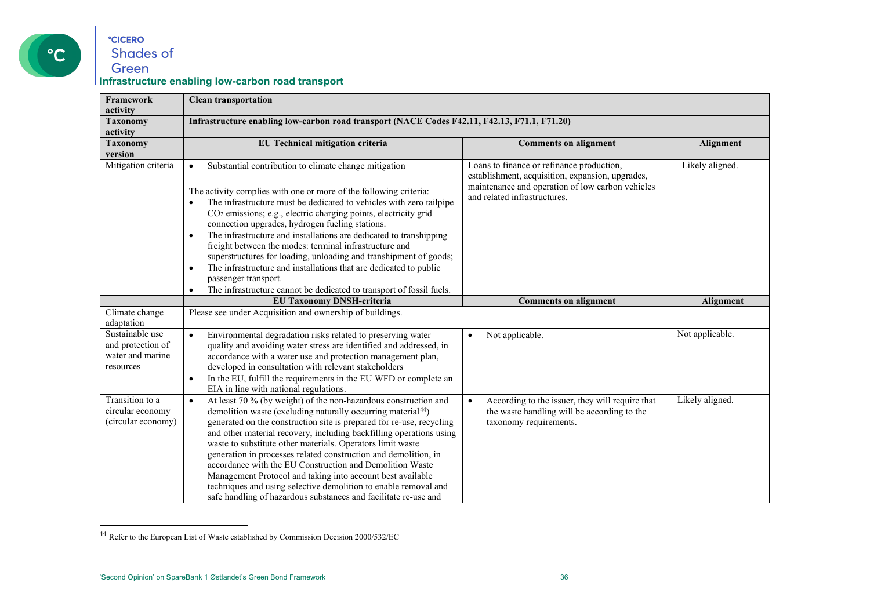

#### <span id="page-35-0"></span>**°CICERO** Shades of Green **Infrastructure enabling low-carbon road transport**

| <b>Framework</b>                                                      | <b>Clean transportation</b>                                                                                                                                                                                                                                                                                                                                                                                                                                                                                                                                                                                                                                                                                                                          |                                                                                                                                                                                   |                 |
|-----------------------------------------------------------------------|------------------------------------------------------------------------------------------------------------------------------------------------------------------------------------------------------------------------------------------------------------------------------------------------------------------------------------------------------------------------------------------------------------------------------------------------------------------------------------------------------------------------------------------------------------------------------------------------------------------------------------------------------------------------------------------------------------------------------------------------------|-----------------------------------------------------------------------------------------------------------------------------------------------------------------------------------|-----------------|
| activity                                                              |                                                                                                                                                                                                                                                                                                                                                                                                                                                                                                                                                                                                                                                                                                                                                      |                                                                                                                                                                                   |                 |
| <b>Taxonomy</b><br>activity                                           | Infrastructure enabling low-carbon road transport (NACE Codes F42.11, F42.13, F71.1, F71.20)                                                                                                                                                                                                                                                                                                                                                                                                                                                                                                                                                                                                                                                         |                                                                                                                                                                                   |                 |
| <b>Taxonomy</b>                                                       | EU Technical mitigation criteria<br><b>Comments on alignment</b><br>Alignment                                                                                                                                                                                                                                                                                                                                                                                                                                                                                                                                                                                                                                                                        |                                                                                                                                                                                   |                 |
| version                                                               |                                                                                                                                                                                                                                                                                                                                                                                                                                                                                                                                                                                                                                                                                                                                                      |                                                                                                                                                                                   |                 |
| Mitigation criteria                                                   | Substantial contribution to climate change mitigation<br>$\bullet$<br>The activity complies with one or more of the following criteria:<br>The infrastructure must be dedicated to vehicles with zero tailpipe<br>CO <sub>2</sub> emissions; e.g., electric charging points, electricity grid<br>connection upgrades, hydrogen fueling stations.<br>The infrastructure and installations are dedicated to transhipping<br>$\bullet$<br>freight between the modes: terminal infrastructure and<br>superstructures for loading, unloading and transhipment of goods;<br>The infrastructure and installations that are dedicated to public<br>$\bullet$<br>passenger transport.<br>The infrastructure cannot be dedicated to transport of fossil fuels. | Loans to finance or refinance production,<br>establishment, acquisition, expansion, upgrades,<br>maintenance and operation of low carbon vehicles<br>and related infrastructures. | Likely aligned. |
|                                                                       | <b>EU Taxonomy DNSH-criteria</b>                                                                                                                                                                                                                                                                                                                                                                                                                                                                                                                                                                                                                                                                                                                     | <b>Comments on alignment</b>                                                                                                                                                      | Alignment       |
| Climate change<br>adaptation                                          | Please see under Acquisition and ownership of buildings.                                                                                                                                                                                                                                                                                                                                                                                                                                                                                                                                                                                                                                                                                             |                                                                                                                                                                                   |                 |
| Sustainable use<br>and protection of<br>water and marine<br>resources | Environmental degradation risks related to preserving water<br>$\bullet$<br>quality and avoiding water stress are identified and addressed, in<br>accordance with a water use and protection management plan,<br>developed in consultation with relevant stakeholders<br>In the EU, fulfill the requirements in the EU WFD or complete an<br>$\bullet$<br>EIA in line with national regulations.                                                                                                                                                                                                                                                                                                                                                     | Not applicable.<br>$\bullet$                                                                                                                                                      | Not applicable. |
| Transition to a<br>circular economy<br>(circular economy)             | At least 70 % (by weight) of the non-hazardous construction and<br>$\bullet$<br>demolition waste (excluding naturally occurring material <sup>44</sup> )<br>generated on the construction site is prepared for re-use, recycling<br>and other material recovery, including backfilling operations using<br>waste to substitute other materials. Operators limit waste<br>generation in processes related construction and demolition, in<br>accordance with the EU Construction and Demolition Waste<br>Management Protocol and taking into account best available<br>techniques and using selective demolition to enable removal and<br>safe handling of hazardous substances and facilitate re-use and                                             | According to the issuer, they will require that<br>$\bullet$<br>the waste handling will be according to the<br>taxonomy requirements.                                             | Likely aligned. |

<sup>44</sup> Refer to the European List of Waste established by Commission Decision 2000/532/EC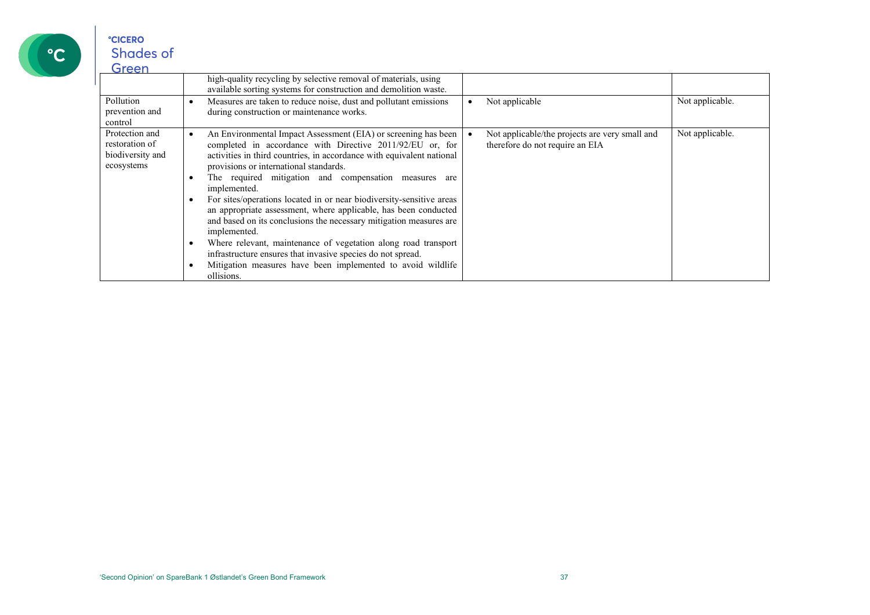

| Green                                                              |                                                                                                                                                                                                                                                                                                                                                                                                                                                                                                                                                                                                                                                                                                                                                                        |                                                                                   |                 |
|--------------------------------------------------------------------|------------------------------------------------------------------------------------------------------------------------------------------------------------------------------------------------------------------------------------------------------------------------------------------------------------------------------------------------------------------------------------------------------------------------------------------------------------------------------------------------------------------------------------------------------------------------------------------------------------------------------------------------------------------------------------------------------------------------------------------------------------------------|-----------------------------------------------------------------------------------|-----------------|
|                                                                    | high-quality recycling by selective removal of materials, using<br>available sorting systems for construction and demolition waste.                                                                                                                                                                                                                                                                                                                                                                                                                                                                                                                                                                                                                                    |                                                                                   |                 |
| Pollution<br>prevention and<br>control                             | Measures are taken to reduce noise, dust and pollutant emissions<br>during construction or maintenance works.                                                                                                                                                                                                                                                                                                                                                                                                                                                                                                                                                                                                                                                          | Not applicable                                                                    | Not applicable. |
| Protection and<br>restoration of<br>biodiversity and<br>ecosystems | An Environmental Impact Assessment (EIA) or screening has been<br>completed in accordance with Directive 2011/92/EU or, for<br>activities in third countries, in accordance with equivalent national<br>provisions or international standards.<br>The required mitigation and compensation measures are<br>implemented.<br>For sites/operations located in or near biodiversity-sensitive areas<br>an appropriate assessment, where applicable, has been conducted<br>and based on its conclusions the necessary mitigation measures are<br>implemented.<br>Where relevant, maintenance of vegetation along road transport<br>infrastructure ensures that invasive species do not spread.<br>Mitigation measures have been implemented to avoid wildlife<br>ollisions. | Not applicable/the projects are very small and<br>therefore do not require an EIA | Not applicable. |